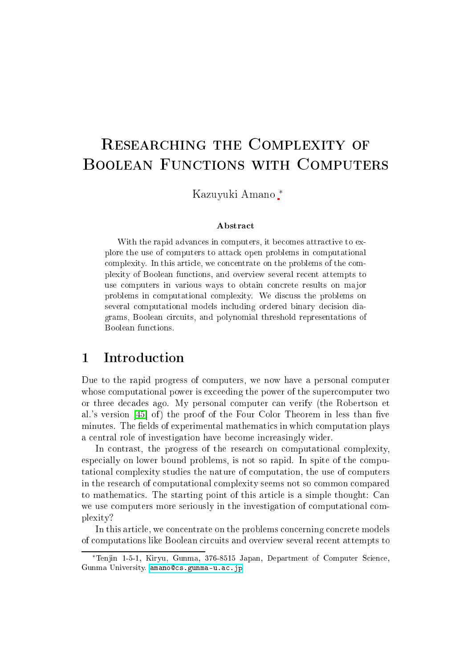# RESEARCHING THE COMPLEXITY OF

Kazuyuki Amano ∗

### Abstra
t

With the rapid advances in computers, it becomes attractive to explore the use of omputers to atta
k open problems in omputational complexity. In this article, we concentrate on the problems of the complexity of Boolean functions, and overview several recent attempts to use computers in various ways to obtain concrete results on major problems in omputational omplexity. We dis
uss the problems on several computational models including ordered binary decision diagrams, Boolean ir
uits, and polynomial threshold representations of

### $\mathbf{1}$ **Introduction**

Due to the rapid progress of computers, we now have a personal computer whose computational power is exceeding the power of the supercomputer two or three de
ades ago. My personal omputer an verify (the Robertson et al.'s version [45] of) the proof of the Four Color Theorem in less than five minutes. The fields of experimental mathematics in which computation plays a central role of investigation have become increasingly wider.

In contrast, the progress of the research on computational complexity, especially on lower bound problems, is not so rapid. In spite of the computational omplexity studies the nature of omputation, the use of omputers in the resear
h of omputational omplexity seems not so ommon ompared to mathemati
s. The starting point of this arti
le is a simple thought: Can we use computers more seriously in the investigation of computational complexity?

In this article, we concentrate on the problems concerning concrete models of omputations like Boolean ir
uits and overview several re
ent attempts to

<sup>∗</sup>Tenjin 1-5-1, Kiryu, Gunma, 376-8515 Japan, Department of Computer S
ien
e, Gunma University. amano@cs.gunma-u.ac.jp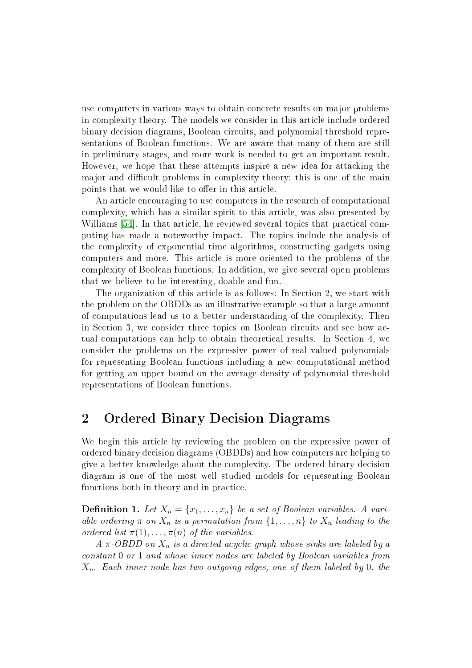use omputers in various ways to obtain on
rete results on major problems in omplexity theory. The models we onsider in this arti
le in
lude ordered binary decision diagrams, Boolean circuits, and polynomial threshold representations of Boolean fun
tions. We are aware that many of them are still in preliminary stages, and more work is needed to get an important result. However, we hope that these attempts inspire a new idea for atta
king the major and difficult problems in complexity theory; this is one of the main points that we would like to offer in this article.

An article encouraging to use computers in the research of computational omplexity, whi
h has a similar spirit to this arti
le, was also presented by Williams [54]. In that article, he reviewed several topics that practical computing has made a noteworthy impa
t. The topi
s in
lude the analysis of the omplexity of exponential time algorithms, onstru
ting gadgets using omputers and more. This arti
le is more oriented to the problems of the omplexity of Boolean fun
tions. In addition, we give several open problems that we believe to be interesting, doable and fun.

The organization of this article is as follows: In Section 2, we start with the problem on the OBDDs as an illustrative example so that a large amount of omputations lead us to a better understanding of the omplexity. Then in Section 3, we consider three topics on Boolean circuits and see how actual omputations an help to obtain theoreti
al results. In Se
tion 4, we onsider the problems on the expressive power of real valued polynomials for representing Boolean fun
tions in
luding a new omputational method for getting an upper bound on the average density of polynomial threshold representations of Boolean fun
tions.

### 2Ordered Binary Decision Diagrams

We begin this article by reviewing the problem on the expressive power of ordered binary decision diagrams (OBDDs) and how computers are helping to give a better knowledge about the omplexity. The ordered binary de
ision diagram is one of the most well studied models for representing Boolean functions both in theory and in practice.

**Definition 1.** Let  $X_n = \{x_1, \ldots, x_n\}$  be a set of Boolean variables. A variable ordering  $\pi$  on  $X_n$  is a permutation from  $\{1, \ldots, n\}$  to  $X_n$  leading to the ordered list  $\pi(1), \ldots, \pi(n)$  of the variables.

 $A \pi$ -OBDD on  $X_n$  is a directed acyclic graph whose sinks are labeled by a onstant 0 or 1 and whose inner nodes are labeled by Boolean variables from  $X_n$ . Each inner node has two outgoing edges, one of them labeled by 0, the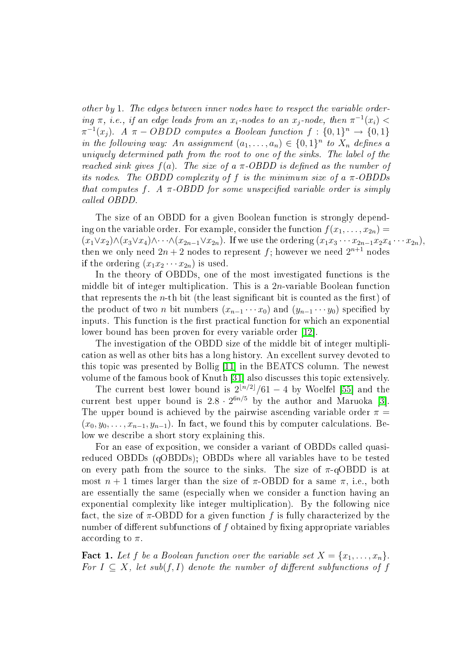other by 1. The edges between inner nodes have to respect the variable ordering  $\pi$ , i.e., if an edge leads from an  $x_i$ -nodes to an  $x_j$ -node, then  $\pi^{-1}(x_i)$  <  $\pi^{-1}(x_j)$ . A  $\pi - OBDD$  computes a Boolean function  $f: \{0,1\}^n \to \{0,1\}$ in the following way: An assignment  $(a_1, \ldots, a_n) \in \{0,1\}^n$  to  $X_n$  defines a uniquely determined path from the root to one of the sinks. The label of the reached sink gives  $f(a)$ . The size of a  $\pi$ -OBDD is defined as the number of its nodes. The OBDD complexity of f is the minimum size of a  $\pi$ -OBDDs that computes f. A  $\pi$ -OBDD for some unspecified variable order is simply called OBDD.

The size of an OBDD for a given Boolean function is strongly depending on the variable order. For example, consider the function  $f(x_1, \ldots, x_{2n}) =$  $(x_1 \vee x_2) \wedge (x_3 \vee x_4) \wedge \cdots \wedge (x_{2n-1} \vee x_{2n})$ . If we use the ordering  $(x_1x_3 \cdots x_{2n-1}x_2x_4 \cdots x_{2n})$ , then we only need  $2n+2$  nodes to represent  $f$ ; however we need  $2^{n+1}$  nodes if the ordering  $(x_1x_2 \cdots x_{2n})$  is used.

In the theory of OBDDs, one of the most investigated functions is the middle bit of integer multiplication. This is a  $2n$ -variable Boolean function that represents the  $n$ -th bit (the least significant bit is counted as the first) of the product of two *n* bit numbers  $(x_{n-1} \cdots x_0)$  and  $(y_{n-1} \cdots y_0)$  specified by inputs. This function is the first practical function for which an exponential lower bound has been proven for every variable order [12].

The investigation of the OBDD size of the middle bit of integer multipli ation as well as other bits has a long history. An ex
ellent survey devoted to this topic was presented by Bollig  $[11]$  in the BEATCS column. The newest volume of the famous book of Knuth [31] also discusses this topic extensively.

The current best lower bound is  $2^{\lfloor n/2 \rfloor}/61 - 4$  by Woelfel [55] and the current best upper bound is  $2.8 \cdot 2^{6n/5}$  by the author and Maruoka [3]. The upper bound is achieved by the pairwise ascending variable order  $\pi =$  $(x_0, y_0, \ldots, x_{n-1}, y_{n-1})$ . In fact, we found this by computer calculations. Below we describe a short story explaining this.

For an ease of exposition, we consider a variant of OBDDs called quasiredu
ed OBDDs (qOBDDs); OBDDs where all variables have to be tested on every path from the source to the sinks. The size of  $\pi$ -qOBDD is at most  $n + 1$  times larger than the size of  $\pi$ -OBDD for a same  $\pi$ , i.e., both are essentially the same (espe
ially when we onsider a fun
tion having an exponential complexity like integer multiplication). By the following nice fact, the size of  $\pi$ -OBDD for a given function f is fully characterized by the number of different subfunctions of f obtained by fixing appropriate variables according to  $\pi$ .

<span id="page-2-0"></span>**Fact 1.** Let f be a Boolean function over the variable set  $X = \{x_1, \ldots, x_n\}$ . For  $I \subseteq X$ , let sub $(f, I)$  denote the number of different subfunctions of f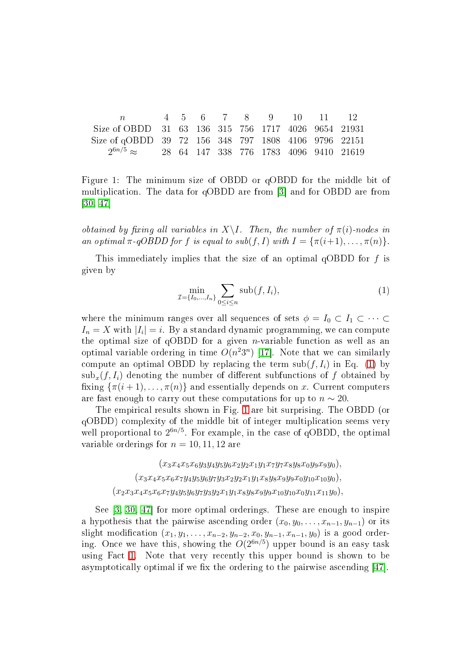n 4 5 6 7 8 9 10 11 12 Size of OBDD 31 63 136 315 756 1717 4026 9654 21931 Size of qOBDD 39 72 156 348 797 1808 4106 9796 22151  $2^{6n/5}\approx$ <sup>6</sup>n/<sup>5</sup> ≈ 28 64 147 338 776 1783 4096 9410 21619

<span id="page-3-1"></span>Figure 1: The minimum size of OBDD or qOBDD for the middle bit of multiplication. The data for qOBDD are from [3] and for OBDD are from  $[30, 47]$  $[30, 47]$ 

obtained by fixing all variables in  $X\setminus I$ . Then, the number of  $\pi(i)$ -nodes in an optimal  $\pi$ -qOBDD for f is equal to sub(f, I) with  $I = {\pi(i+1), \dots, \pi(n)}$ .

<span id="page-3-0"></span>This immediately implies that the size of an optimal qOBDD for  $f$  is given by

$$
\min_{\mathcal{I} = \{I_0, \dots, I_n\}} \sum_{0 \le i \le n} \text{sub}(f, I_i),\tag{1}
$$

where the minimum ranges over all sequences of sets  $\phi = I_0 \subset I_1 \subset \cdots \subset I_n$  $I_n = X$  with  $|I_i| = i$ . By a standard dynamic programming, we can compute the optimal size of  $qOBDD$  for a given *n*-variable function as well as an optimal variable ordering in time  $O(n^2 3^n)$  [17]. Note that we can similarly compute an optimal OBDD by replacing the term  $\text{sub}(f, I_i)$  in Eq. [\(1\)](#page-3-0) by  $\text{sub}_x(f, I_i)$  denoting the number of different subfunctions of f obtained by fixing  $\{\pi(i+1), \ldots, \pi(n)\}\$  and essentially depends on x. Current computers are fast enough to carry out these computations for up to  $n \sim 20$ .

The empiri
al results shown in Fig. [1](#page-3-1) are bit surprising. The OBDD (or qOBDD) omplexity of the middle bit of integer multipli
ation seems very well proportional to  $2^{6n/5}$ . For example, in the case of qOBDD, the optimal variable orderings for  $n = 10, 11, 12$  are

> $(x_3x_4x_5x_6y_3y_4y_5y_6x_2y_2x_1y_1x_7y_7x_8y_8x_0y_9x_9y_0),$  $(x_3x_4x_5x_6x_7y_4y_5y_6y_7y_3x_2y_2x_1y_1x_8y_8x_9y_9x_0y_{10}x_{10}y_0),$  $(x_2x_3x_4x_5x_6x_7y_4y_5y_6y_7y_3y_2x_1y_1x_8y_8x_9y_9x_{10}y_{10}x_0y_{11}x_{11}y_0),$

See  $[3, 30, 47]$  $[3, 30, 47]$  $[3, 30, 47]$  $[3, 30, 47]$  for more optimal orderings. These are enough to inspire a hypothesis that the pairwise ascending order  $(x_0, y_0, \ldots, x_{n-1}, y_{n-1})$  or its slight modification  $(x_1, y_1, \ldots, x_{n-2}, y_{n-2}, x_0, y_{n-1}, x_{n-1}, y_0)$  is a good ordering. Once we have this, showing the  $O(2^{6n/5})$  upper bound is an easy task using Fact [1.](#page-2-0) Note that very recently this upper bound is shown to be asymptotically optimal if we fix the ordering to the pairwise ascending  $[47]$ .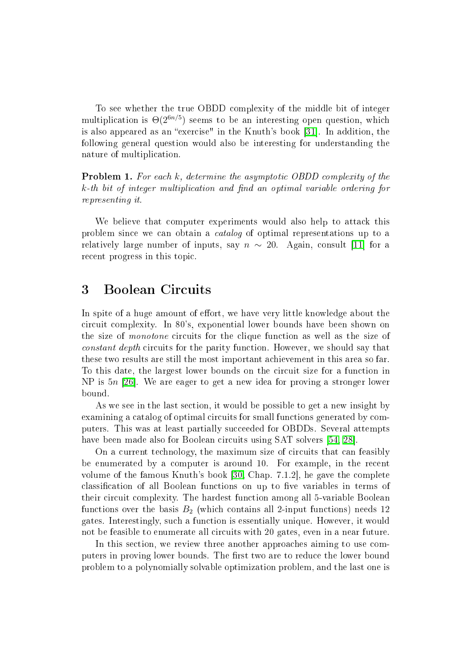To see whether the true OBDD omplexity of the middle bit of integer multiplication is  $\Theta(2^{6n/5})$  seems to be an interesting open question, which is also appeared as an "exercise" in the Knuth's book [31]. In addition, the following general question would also be interesting for understanding the nature of multipli
ation.

**Problem 1.** For each k, determine the asymptotic OBDD complexity of the  $k$ -th bit of integer multiplication and find an optimal variable ordering for representing it.

We believe that computer experiments would also help to attack this problem sin
e we an obtain a atalog of optimal representations up to a relatively large number of inputs, say  $n \sim 20$ . Again, consult [11] for a recent progress in this topic.

### 3Boolean Cir
uits

In spite of a huge amount of effort, we have very little knowledge about the circuit complexity. In 80's, exponential lower bounds have been shown on the size of *monotone* circuits for the clique function as well as the size of constant depth circuits for the parity function. However, we should say that these two results are still the most important a
hievement in this area so far. To this date, the largest lower bounds on the circuit size for a function in NP is  $5n$  [26]. We are eager to get a new idea for proving a stronger lower bound.

As we see in the last section, it would be possible to get a new insight by examining a catalog of optimal circuits for small functions generated by computers. This was at least partially succeeded for OBDDs. Several attempts have been made also for Boolean circuits using SAT solvers [\[54,](#page-28-0) 28].

On a current technology, the maximum size of circuits that can feasibly be enumerated by a computer is around 10. For example, in the recent volume of the famous Knuth's book  $[30, Chap. 7.1.2]$  $[30, Chap. 7.1.2]$ , he gave the complete classification of all Boolean functions on up to five variables in terms of their circuit complexity. The hardest function among all 5-variable Boolean functions over the basis  $B_2$  (which contains all 2-input functions) needs 12 gates. Interestingly, su
h a fun
tion is essentially unique. However, it would not be feasible to enumerate all circuits with 20 gates, even in a near future.

In this section, we review three another approaches aiming to use computers in proving lower bounds. The first two are to reduce the lower bound problem to a polynomially solvable optimization problem, and the last one is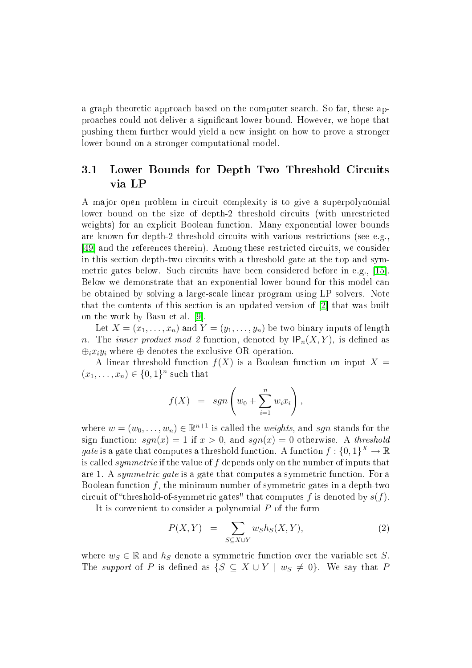a graph theoretic approach based on the computer search. So far, these approa
hes ould not deliver a signi
ant lower bound. However, we hope that pushing them further would yield a new insight on how to prove a stronger lower bound on a stronger computational model.

### $3.1$ Lower Bounds for Depth Two Threshold Circuits via LP

A major open problem in circuit complexity is to give a superpolynomial lower bound on the size of depth-2 threshold circuits (with unrestricted weights) for an explicit Boolean function. Many exponential lower bounds are known for depth-2 threshold circuits with various restrictions (see e.g., [49] and the references therein]. Among these restricted circuits, we consider in this section depth-two circuits with a threshold gate at the top and symmetric gates below. Such circuits have been considered before in e.g., [15]. Below we demonstrate that an exponential lower bound for this model an be obtained by solving a large-s
ale linear program using LP solvers. Note that the contents of this section is an updated version of  $[2]$  that was built on the work by Basu et al. [9].

Let  $X = (x_1, \ldots, x_n)$  and  $Y = (y_1, \ldots, y_n)$  be two binary inputs of length n. The *inner product mod 2* function, denoted by  $IP_n(X, Y)$ , is defined as  $\oplus_i x_i y_i$  where  $\oplus$  denotes the exclusive-OR operation.

A linear threshold function  $f(X)$  is a Boolean function on input  $X =$  $(x_1, \ldots, x_n) \in \{0,1\}^n$  such that

$$
f(X) = sgn\left(w_0 + \sum_{i=1}^n w_i x_i\right),
$$

where  $w = (w_0, \ldots, w_n) \in \mathbb{R}^{n+1}$  is called the *weights*, and *sgn* stands for the sign function:  $sqn(x) = 1$  if  $x > 0$ , and  $sqn(x) = 0$  otherwise. A threshold *gate* is a gate that computes a threshold function. A function  $f: \{0,1\}^X \to \mathbb{R}$ is called *symmetric* if the value of f depends only on the number of inputs that are 1. A *symmetric qate* is a gate that computes a symmetric function. For a Boolean function  $f$ , the minimum number of symmetric gates in a depth-two circuit of "threshold-of-symmetric gates" that computes f is denoted by  $s(f)$ .

<span id="page-5-0"></span>It is convenient to consider a polynomial P of the form

$$
P(X,Y) = \sum_{S \subseteq X \cup Y} w_S h_S(X,Y), \qquad (2)
$$

where  $w_S \in \mathbb{R}$  and  $h_S$  denote a symmetric function over the variable set S. The support of P is defined as  $\{S \subseteq X \cup Y \mid w_S \neq 0\}$ . We say that P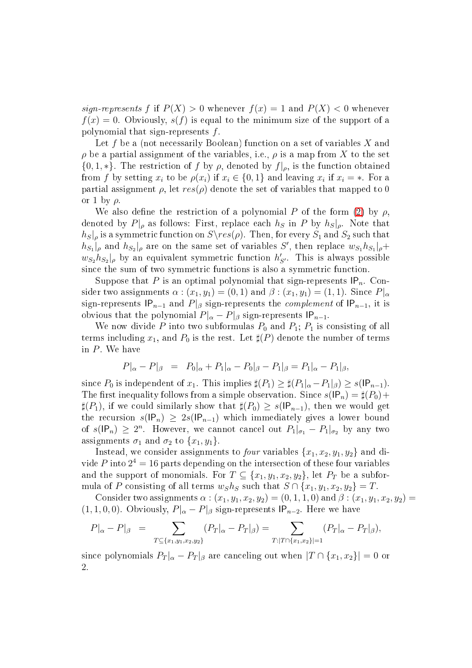sign-represents f if  $P(X) > 0$  whenever  $f(x) = 1$  and  $P(X) < 0$  whenever  $f(x) = 0$ . Obviously,  $s(f)$  is equal to the minimum size of the support of a polynomial that sign-represents f .

Let f be a (not necessarily Boolean) function on a set of variables X and  $\rho$  be a partial assignment of the variables, i.e.,  $\rho$  is a map from X to the set  $\{0, 1, *\}.$  The restriction of f by  $\rho$ , denoted by  $f|_{\rho}$ , is the function obtained from f by setting  $x_i$  to be  $\rho(x_i)$  if  $x_i \in \{0,1\}$  and leaving  $x_i$  if  $x_i = *$ . For a partial assignment  $\rho$ , let  $res(\rho)$  denote the set of variables that mapped to 0 or 1 by  $\rho$ .

We also define the restriction of a polynomial P of the form [\(2\)](#page-5-0) by  $\rho$ . denoted by  $P|_{\rho}$  as follows: First, replace each  $h_S$  in P by  $h_S|_{\rho}$ . Note that  $h_S|_\rho$  is a symmetric function on  $S\$ res $(\rho)$ . Then, for every  $S_1$  and  $S_2$  such that  $|h_{S_1}|\rho$  and  $|h_{S_2}|\rho$  are on the same set of variables S', then replace  $w_{S_1}h_{S_1}|\rho +$  $w_{S_2}h_{S_2}|_\rho$  by an equivalent symmetric function  $h'_{S'}$ . This is always possible since the sum of two symmetric functions is also a symmetric function.

Suppose that P is an optimal polynomial that sign-represents  $IP_n$ . Consider two assignments  $\alpha$ :  $(x_1, y_1) = (0, 1)$  and  $\beta$ :  $(x_1, y_1) = (1, 1)$ . Since  $P|_{\alpha}$ sign-represents  $|P_{n-1}$  and  $P|_{\beta}$  sign-represents the *complement* of  $|P_{n-1}$ , it is obvious that the polynomial  $P|_{\alpha} - P|_{\beta}$  sign-represents  $IP_{n-1}$ .

We now divide P into two subformulas  $P_0$  and  $P_1$ ;  $P_1$  is consisting of all terms including  $x_1$ , and  $P_0$  is the rest. Let  $\sharp(P)$  denote the number of terms in  $P$ . We have

$$
P|_{\alpha} - P|_{\beta} = P_0|_{\alpha} + P_1|_{\alpha} - P_0|_{\beta} - P_1|_{\beta} = P_1|_{\alpha} - P_1|_{\beta},
$$

since  $P_0$  is independent of  $x_1$ . This implies  $\sharp(P_1) \geq \sharp(P_1|_{\alpha} - P_1|_{\beta}) \geq s(\mathsf{IP}_{n-1})$ . The first inequality follows from a simple observation. Since  $s(\mathsf{IP}_n) = \sharp(P_0) +$  $\sharp(P_1)$ , if we could similarly show that  $\sharp(P_0) \geq s(\mathsf{IP}_{n-1})$ , then we would get the recursion  $s(\mathsf{IP}_n) \geq 2s(\mathsf{IP}_{n-1})$  which immediately gives a lower bound of  $s(\mathsf{IP}_n) \geq 2^n$ . However, we cannot cancel out  $P_1|_{\sigma_1} - P_1|_{\sigma_2}$  by any two assignments  $\sigma_1$  and  $\sigma_2$  to  $\{x_1, y_1\}$ .

Instead, we consider assignments to *four* variables  $\{x_1, x_2, y_1, y_2\}$  and divide  $P$  into  $2^4 = 16$  parts depending on the intersection of these four variables and the support of monomials. For  $T \subseteq \{x_1, y_1, x_2, y_2\}$ , let  $P_T$  be a subformula of P consisting of all terms  $w_S h_S$  such that  $S \cap \{x_1, y_1, x_2, y_2\} = T$ .

Consider two assignments  $\alpha$  :  $(x_1, y_1, x_2, y_2) = (0, 1, 1, 0)$  and  $\beta$  :  $(x_1, y_1, x_2, y_2) =$  $(1, 1, 0, 0)$ . Obviously,  $P|_{\alpha} - P|_{\beta}$  sign-represents  $IP_{n-2}$ . Here we have

$$
P|_{\alpha} - P|_{\beta} = \sum_{T \subseteq \{x_1, y_1, x_2, y_2\}} (P_T|_{\alpha} - P_T|_{\beta}) = \sum_{T : |T \cap \{x_1, x_2\}| = 1} (P_T|_{\alpha} - P_T|_{\beta}),
$$

since polynomials  $P_T|_{\alpha} - P_T|_{\beta}$  are canceling out when  $|T \cap \{x_1, x_2\}| = 0$  or 2.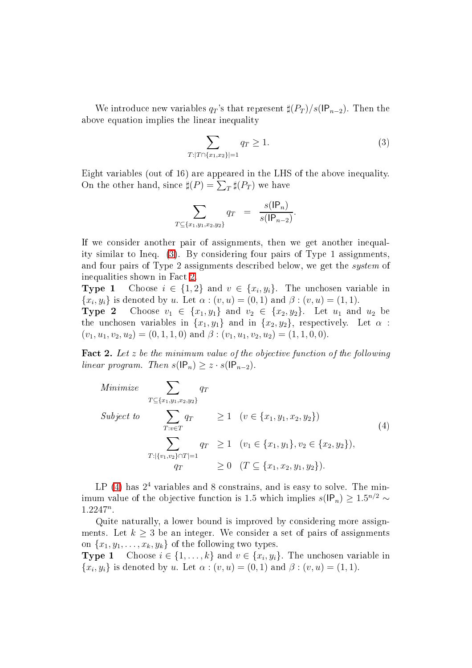<span id="page-7-0"></span>We introduce new variables  $q_T$ 's that represent  $\sharp(P_T)/s(\mathsf{IP}_{n-2})$ . Then the above equation implies the linear inequality

$$
\sum_{T:|T \cap \{x_1, x_2\}|=1} q_T \ge 1.
$$
\n(3)

Eight variables (out of 16) are appeared in the LHS of the above inequality. On the other hand, since  $\sharp(P) = \sum_{T} \sharp(P_T)$  we have

$$
\sum_{T \subseteq \{x_1, y_1, x_2, y_2\}} q_T = \frac{s(|P_n)}{s(|P_{n-2})}.
$$

If we consider another pair of assignments, then we get another inequality similar to Ineq. [\(3\)](#page-7-0). By onsidering four pairs of Type 1 assignments, and four pairs of Type 2 assignments des
ribed below, we get the system of inequalities shown in Fa
t [2.](#page-7-1)

**Type 1** Choose  $i \in \{1,2\}$  and  $v \in \{x_i, y_i\}$ . The unchosen variable in  $\{x_i, y_i\}$  is denoted by u. Let  $\alpha : (v, u) = (0, 1)$  and  $\beta : (v, u) = (1, 1)$ .

**Type 2** Choose  $v_1 \in \{x_1, y_1\}$  and  $v_2 \in \{x_2, y_2\}$ . Let  $u_1$  and  $u_2$  be the unchosen variables in  $\{x_1, y_1\}$  and in  $\{x_2, y_2\}$ , respectively. Let  $\alpha$ :  $(v_1, u_1, v_2, u_2) = (0, 1, 1, 0)$  and  $\beta : (v_1, u_1, v_2, u_2) = (1, 1, 0, 0).$ 

<span id="page-7-1"></span>Fact 2. Let  $z$  be the minimum value of the objective function of the following linear program. Then  $s(\mathsf{IP}_n) \geq z \cdot s(\mathsf{IP}_{n-2})$ .

<span id="page-7-2"></span>Minimize 
$$
\sum_{T \subseteq \{x_1, y_1, x_2, y_2\}} q_T
$$
  
\nSubject to  $\sum_{T:v \in T} q_T \ge 1 \quad (v \in \{x_1, y_1, x_2, y_2\})$   
\n $\sum_{T: |\{v_1, v_2\} \cap T| = 1} q_T \ge 1 \quad (v_1 \in \{x_1, y_1\}, v_2 \in \{x_2, y_2\}),$   
\n $q_T \ge 0 \quad (T \subseteq \{x_1, x_2, y_1, y_2\}).$  (4)

LP  $(4)$  has  $2<sup>4</sup>$  variables and 8 constrains, and is easy to solve. The minimum value of the objective function is 1.5 which implies  $s(\mathsf{IP}_n) \geq 1.5^{n/2} \sim$  $1.2247^n$ .

Quite naturally, a lower bound is improved by onsidering more assignments. Let  $k \geq 3$  be an integer. We consider a set of pairs of assignments on  $\{x_1, y_1, \ldots, x_k, y_k\}$  of the following two types.<br> **Type 1** Choose  $i \in \{1, \ldots, k\}$  and  $v \in \{x_i, y_i\}$ 

**Type 1** Choose  $i \in \{1, ..., k\}$  and  $v \in \{x_i, y_i\}$ . The unchosen variable in  $\{x_i, y_i\}$  is denoted by u. Let  $\alpha$  :  $(v, u) = (0, 1)$  and  $\beta$  :  $(v, u) = (1, 1)$ .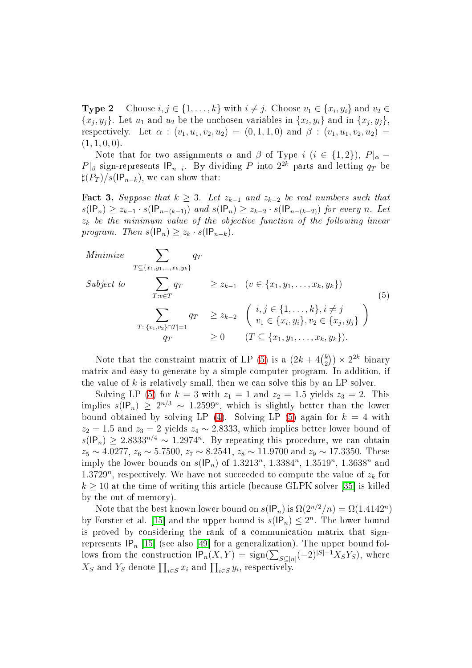**Type 2** Choose  $i, j \in \{1, ..., k\}$  with  $i \neq j$ . Choose  $v_1 \in \{x_i, y_i\}$  and  $v_2 \in$  $\{x_j, y_j\}$ . Let  $u_1$  and  $u_2$  be the unchosen variables in  $\{x_i, y_i\}$  and in  $\{x_j, y_j\}$ , respectively. Let  $\alpha$  :  $(v_1, u_1, v_2, u_2) = (0, 1, 1, 0)$  and  $\beta$  :  $(v_1, u_1, v_2, u_2)$  $(1, 1, 0, 0).$ 

Note that for two assignments  $\alpha$  and  $\beta$  of Type i (i ∈ {1,2}),  $P|_{\alpha}$  –  $P|_{\beta}$  sign-represents  $IP_{n-i}$ . By dividing P into  $2^{2k}$  parts and letting  $q_T$  be  $\sharp(P_T)/s(\mathsf{IP}_{n-k})$ , we can show that:

Fact 3. Suppose that  $k \geq 3$ . Let  $z_{k-1}$  and  $z_{k-2}$  be real numbers such that  $s(\mathsf{IP}_n) \geq z_{k-1} \cdot s(\mathsf{IP}_{n-(k-1)})$  and  $s(\mathsf{IP}_n) \geq z_{k-2} \cdot s(\mathsf{IP}_{n-(k-2)})$  for every n. Let  $z_k$  be the minimum value of the objective function of the following linear program. Then  $s(\mathsf{IP}_n) \geq z_k \cdot s(\mathsf{IP}_{n-k}).$ 

<span id="page-8-0"></span>Minimize 
$$
\sum_{T \subseteq \{x_1, y_1, ..., x_k, y_k\}} q_T
$$
  
\nSubject to  $\sum_{T: v \in T} q_T \ge z_{k-1} \quad (v \in \{x_1, y_1, ..., x_k, y_k\})$   
\n $\sum_{T: |\{v_1, v_2\} \cap T| = 1} q_T \ge z_{k-2} \left( \begin{array}{l} i, j \in \{1, ..., k\}, i \ne j \\ v_1 \in \{x_i, y_i\}, v_2 \in \{x_j, y_j\} \end{array} \right)$   
\n $q_T \ge 0 \quad (T \subseteq \{x_1, y_1, ..., x_k, y_k\}).$  (5)

Note that the constraint matrix of LP [\(5\)](#page-8-0) is a  $(2k+4\binom{k}{2})$  $\binom{k}{2}$   $\times$  2<sup>2k</sup> binary matrix and easy to generate by a simple omputer program. In addition, if the value of  $k$  is relatively small, then we can solve this by an LP solver.

Solving LP [\(5\)](#page-8-0) for  $k = 3$  with  $z_1 = 1$  and  $z_2 = 1.5$  yields  $z_3 = 2$ . This implies  $s(\mathsf{IP}_n) \geq 2^{n/3} \sim 1.2599^n$ , which is slightly better than the lower bound obtained by solving LP [\(4\)](#page-7-2). Solving LP [\(5\)](#page-8-0) again for  $k = 4$  with  $z_2 = 1.5$  and  $z_3 = 2$  yields  $z_4 \sim 2.8333$ , which implies better lower bound of  $s(\mathsf{IP}_n) \geq 2.8333^{n/4} \sim 1.2974^n$ . By repeating this procedure, we can obtain  $z_5 \sim 4.0277$ ,  $z_6 \sim 5.7500$ ,  $z_7 \sim 8.2541$ ,  $z_8 \sim 11.9700$  and  $z_9 \sim 17.3350$ . These imply the lower bounds on  $s(\mathsf{IP}_n)$  of  $1.3213^n$ ,  $1.3384^n$ ,  $1.3519^n$ ,  $1.3638^n$  and 1.3729<sup>n</sup>, respectively. We have not succeeded to compute the value of  $z_k$  for  $k \geq 10$  at the time of writing this article (because GLPK solver [35] is killed by the out of memory).

Note that the best known lower bound on  $s(\mathsf{IP}_n)$  is  $\Omega(2^{n/2}/n) = \Omega(1.4142^n)$ by Forster et al. [15] and the upper bound is  $s(\mathsf{IP}_n) \leq 2^n$ . The lower bound is proved by onsidering the rank of a ommuni
ation matrix that signrepresents  $IP_n$  [15] (see also [49] for a generalization). The upper bound follows from the construction  $IP_n(X, Y) = \text{sign}(\sum_{S \subseteq [n]} (-2)^{|S|+1} X_S Y_S)$ , where  $X_S$  and  $Y_S$  denote  $\prod_{i \in S} x_i$  and  $\prod_{i \in S} y_i$ , respectively.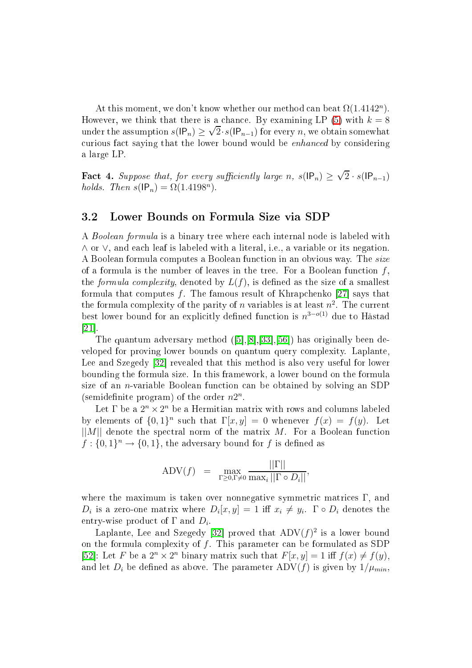At this moment, we don't know whether our method can beat  $\Omega(1.4142^n)$ . However, we think that there is a chance. By examining LP [\(5\)](#page-8-0) with  $k = 8$ under the assumption  $s(\mathsf{IP}_n) \geq \sqrt{2} \cdot s(\mathsf{IP}_{n-1})$  for every n, we obtain somewhat curious fact saying that the lower bound would be *enhanced* by considering a large LP.

**Fact 4.** Suppose that, for every sufficiently large n,  $s(\mathsf{IP}_n) \geq \sqrt{2} \cdot s(\mathsf{IP}_{n-1})$ holds. Then  $s(\mathsf{IP}_n) = \Omega(1.4198^n)$ .

### 3.2 Lower Bounds on Formula Size via SDP

A Boolean formula is a binary tree where each internal node is labeled with ∧ or ∨, and ea
h leaf is labeled with a literal, i.e., a variable or its negation. A Boolean formula omputes a Boolean fun
tion in an obvious way. The size of a formula is the number of leaves in the tree. For a Boolean function  $f$ . the *formula complexity*, denoted by  $L(f)$ , is defined as the size of a smallest formula that computes  $f$ . The famous result of Khrapchenko [27] says that the formula complexity of the parity of  $n$  variables is at least  $n^2$ . The current best lower bound for an explicitly defined function is  $n^{3-o(1)}$  due to Håstad  $[21]$ .

The quantum adversary method  $([5],[8],[33],[56])$  has originally been developed for proving lower bounds on quantum query omplexity. Laplante, Lee and Szegedy  $[32]$  revealed that this method is also very useful for lower bounding the formula size. In this framework, a lower bound on the formula size of an *n*-variable Boolean function can be obtained by solving an SDP (semidefinite program) of the order  $n2^n$ .

Let  $\Gamma$  be a  $2^n \times 2^n$  be a Hermitian matrix with rows and columns labeled by elements of  $\{0,1\}^n$  such that  $\Gamma[x,y] = 0$  whenever  $f(x) = f(y)$ . Let  $||M||$  denote the spectral norm of the matrix M. For a Boolean function  $f: \{0,1\}^n \to \{0,1\}$ , the adversary bound for  $f$  is defined as

$$
ADV(f) = \max_{\Gamma \ge 0, \Gamma \ne 0} \frac{||\Gamma||}{\max_i ||\Gamma \circ D_i||},
$$

where the maximum is taken over nonnegative symmetric matrices  $\Gamma$ , and  $D_i$  is a zero-one matrix where  $D_i[x, y] = 1$  iff  $x_i \neq y_i$ .  $\Gamma \circ D_i$  denotes the entry-wise product of  $\Gamma$  and  $D_i$ .

Laplante, Lee and Szegedy [32] proved that  $\mathrm{ADV}(f)^2$  is a lower bound on the formula complexity of  $f$ . This parameter can be formulated as SDP [52]: Let F be a  $2^n \times 2^n$  binary matrix such that  $F[x, y] = 1$  iff  $f(x) \neq f(y)$ , and let  $D_i$  be defined as above. The parameter ADV(f) is given by  $1/\mu_{min}$ .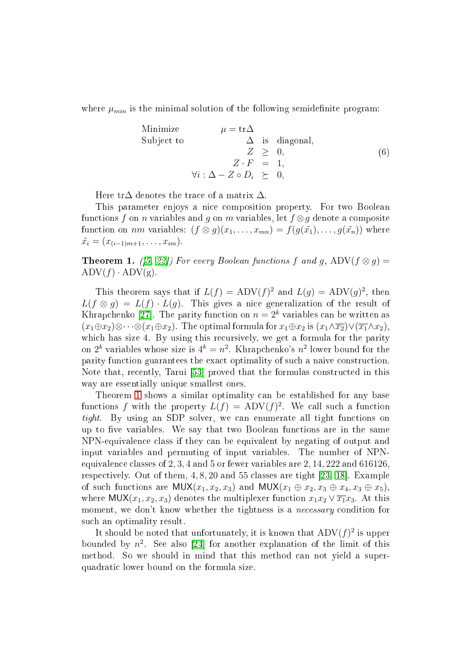where  $\mu_{min}$  is the minimal solution of the following semidefinite program:

Minimize 
$$
\mu = \text{tr}\Delta
$$
  
\nSubject to  $\Delta$  is diagonal,  
\n $Z \geq 0$ ,  
\n $Z \cdot F = 1$ ,  
\n $\forall i : \Delta - Z \circ D_i \geq 0$ , (6)

Here tr $\Delta$  denotes the trace of a matrix  $\Delta$ .

This parameter enjoys a nice composition property. For two Boolean functions f on *n* variables and g on m variables, let  $f \otimes g$  denote a composite function on nm variables:  $(f \otimes g)(x_1, \ldots, x_{mn}) = f(g(\tilde{x_1}), \ldots, g(\tilde{x_n}))$  where  $\tilde{x_i} = (x_{(i-1)m+1}, \ldots, x_{im}).$ 

<span id="page-10-0"></span>**Theorem 1.** ([\[5,](#page-25-5) 22]) For every Boolean functions f and g, ADV( $f \otimes g$ ) =  $\text{ADV}(f) \cdot \text{ADV}(g)$ .

This theorem says that if  $L(f) = ADV(f)^2$  and  $L(g) = ADV(g)^2$ , then  $L(f \otimes q) = L(f) \cdot L(q)$ . This gives a nice generalization of the result of Khrapchenko [27]. The parity function on  $n = 2<sup>k</sup>$  variables can be written as  $(x_1 \oplus x_2) \otimes \cdots \otimes (x_1 \oplus x_2)$ . The optimal formula for  $x_1 \oplus x_2$  is  $(x_1 \wedge \overline{x_2}) \vee (\overline{x_1} \wedge x_2)$ . which has size 4. By using this recursively, we get a formula for the parity on  $2^k$  variables whose size is  $4^k = n^2$ . Khrapchenko's  $n^2$  lower bound for the parity fun
tion guarantees the exa
t optimality of su
h a naive onstru
tion. Note that, recently, Tarui [53] proved that the formulas constructed in this way are essentially unique smallest ones.

Theorem [1](#page-10-0) shows a similar optimality can be established for any base functions f with the property  $L(f) = ADV(f)^2$ . We call such a function tight. By using an SDP solver, we can enumerate all tight functions on up to five variables. We say that two Boolean functions are in the same NPN-equivalen
e lass if they an be equivalent by negating of output and input variables and permuting of input variables. The number of NPNequivalence classes of 2, 3, 4 and 5 or fewer variables are 2, 14, 222 and 616126, respectively. Out of them,  $4, 8, 20$  and  $55$  classes are tight [\[23,](#page-26-7) 18]. Example of such functions are MUX $(x_1, x_2, x_3)$  and MUX $(x_1 \oplus x_2, x_3 \oplus x_4, x_3 \oplus x_5)$ , where  $MUX(x_1, x_2, x_3)$  denotes the multiplexer function  $x_1x_2 \vee \overline{x_1}x_3$ . At this moment, we don't know whether the tightness is a *necessary* condition for su
h an optimality result.

It should be noted that unfortunately, it is known that  $\mathrm{ADV}(f)^2$  is upper bounded by  $n^2$ . See also [24] for another explanation of the limit of this method. So we should in mind that this method can not yield a superquadrati lower bound on the formula size.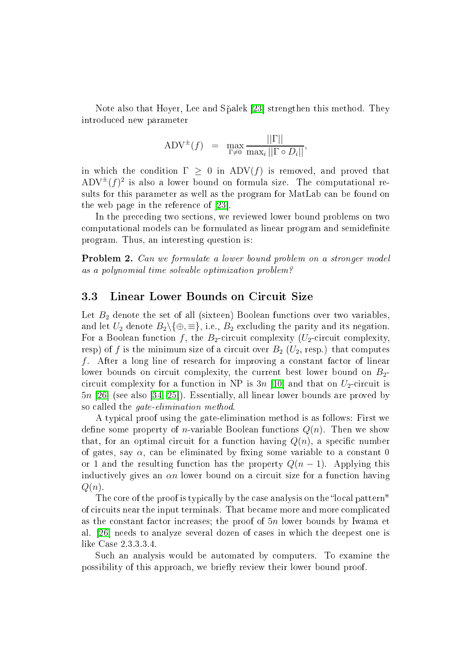Note also that Høyer, Lee and Spalek [23] strengthen this method. They introdu
ed new parameter

$$
ADV^{\pm}(f) = \max_{\Gamma \neq 0} \frac{||\Gamma||}{\max_i ||\Gamma \circ D_i||},
$$

in which the condition  $\Gamma > 0$  in ADV(f) is removed, and proved that  $\mathrm{ADV}^\pm(f)^2$  is also a lower bound on formula size. The computational results for this parameter as well as the program for MatLab can be found on the web page in the reference of  $[23]$ .

In the preceding two sections, we reviewed lower bound problems on two computational models can be formulated as linear program and semidefinite program. Thus, an interesting question is:

Problem 2. Can we formulate a lower bound problem on a stronger model as a polynomial time solvable optimization problem?

### 3.3 Linear Lower Bounds on Circuit Size

Let  $B_2$  denote the set of all (sixteen) Boolean functions over two variables, and let  $U_2$  denote  $B_2 \setminus \{\oplus, \equiv\}$ , i.e.,  $B_2$  excluding the parity and its negation. For a Boolean function f, the B<sub>2</sub>-circuit complexity ( $U_2$ -circuit complexity, resp) of f is the minimum size of a circuit over  $B_2$  ( $U_2$ , resp.) that computes f. After a long line of research for improving a constant factor of linear lower bounds on circuit complexity, the current best lower bound on  $B_2$ circuit complexity for a function in NP is  $3n$  [10] and that on  $U_2$ -circuit is  $5n$  [26] (see also [\[34,](#page-27-6) 25]). Essentially, all linear lower bounds are proved by so called the *gate-elimination method*.

A typi
al proof using the gate-elimination method is as follows: First we define some property of *n*-variable Boolean functions  $Q(n)$ . Then we show that, for an optimal circuit for a function having  $Q(n)$ , a specific number of gates, say  $\alpha$ , can be eliminated by fixing some variable to a constant 0 or 1 and the resulting function has the property  $Q(n-1)$ . Applying this inductively gives an  $\alpha n$  lower bound on a circuit size for a function having  $Q(n)$ .

The core of the proof is typically by the case analysis on the "local pattern" of ir
uits near the input terminals. That be
ame more and more ompli
ated as the constant factor increases; the proof of 5n lower bounds by Iwama et al. [26] needs to analyze several dozen of cases in which the deepest one is like Case 2.3.3.3.4.

Su
h an analysis would be automated by omputers. To examine the possibility of this approach, we briefly review their lower bound proof.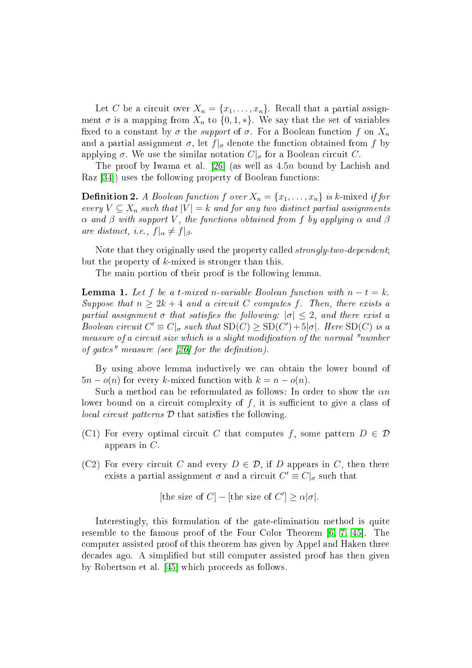Let C be a circuit over  $X_n = \{x_1, \ldots, x_n\}$ . Recall that a partial assignment  $\sigma$  is a mapping from  $X_n$  to  $\{0, 1, *\}$ . We say that the set of variables fixed to a constant by  $\sigma$  the *support* of  $\sigma$ . For a Boolean function f on  $X_n$ and a partial assignment  $\sigma$ , let  $f|_{\sigma}$  denote the function obtained from f by applying  $\sigma$ . We use the similar notation  $C|_{\sigma}$  for a Boolean circuit C.

The proof by Iwama et al. [26] (as well as  $4.5n$  bound by Lachish and Raz [34]) uses the following property of Boolean functions:

**Definition 2.** A Boolean function f over  $X_n = \{x_1, \ldots, x_n\}$  is k-mixed if for every  $V \subseteq X_n$  such that  $|V| = k$  and for any two distinct partial assignments  $\alpha$  and  $\beta$  with support V, the functions obtained from f by applying  $\alpha$  and  $\beta$ are distinct, i.e.,  $f|_{\alpha} \neq f|_{\beta}$ .

Note that they originally used the property called *strongly-two-dependent*; but the property of  $k$ -mixed is stronger than this.

The main portion of their proof is the following lemma.

**Lemma 1.** Let f be a t-mixed n-variable Boolean function with  $n - t = k$ . Suppose that  $n \geq 2k + 4$  and a circuit C computes f. Then, there exists a partial assignment  $\sigma$  that satisfies the following:  $|\sigma| \leq 2$ , and there exist a Boolean circuit  $C' \equiv C|_{\sigma}$  such that  $SD(C) \geq SD(C') + 5|\sigma|$ . Here  $SD(C)$  is a measure of a circuit size which is a slight modification of the normal "number of gates" measure (see [26] for the definition).

By using above lemma inductively we can obtain the lower bound of  $5n - o(n)$  for every k-mixed function with  $k = n - o(n)$ .

Such a method can be reformulated as follows: In order to show the  $\alpha n$ lower bound on a circuit complexity of  $f$ , it is sufficient to give a class of  $local circuit patterns \mathcal{D}$  that satisfies the following.

- (C1) For every optimal circuit C that computes f, some pattern  $D \in \mathcal{D}$ appears in  $C$ .
- (C2) For every circuit C and every  $D \in \mathcal{D}$ , if D appears in C, then there exists a partial assignment  $\sigma$  and a circuit  $C' \equiv C|_{\sigma}$  such that

[the size of  $C$ ] – [the size of  $C'$ ]  $\geq \alpha |\sigma|$ .

Interestingly, this formulation of the gate-elimination method is quite resemble to the famous proof of the Four Color Theorem  $[6, 7, 45]$  $[6, 7, 45]$  $[6, 7, 45]$  $[6, 7, 45]$ . The omputer assisted proof of this theorem has given by Appel and Haken three de
ades ago. A simplied but still omputer assisted proof has then given by Robertson et al. [45] which proceeds as follows.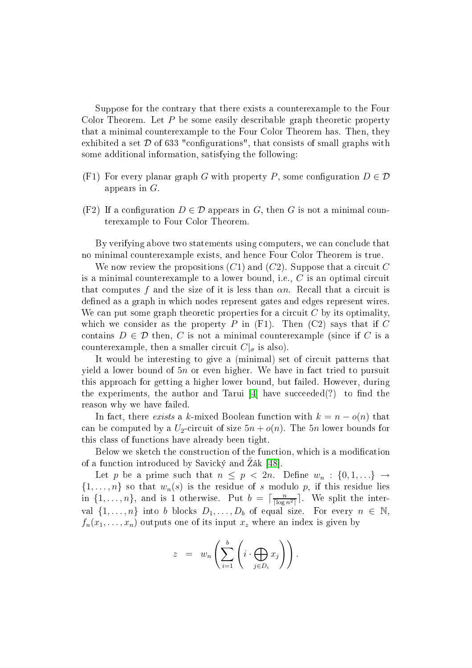Suppose for the ontrary that there exists a ounterexample to the Four Color Theorem. Let  $P$  be some easily describable graph theoretic property that a minimal ounterexample to the Four Color Theorem has. Then, they exhibited a set  $\mathcal D$  of 633 "configurations", that consists of small graphs with some additional information, satisfying the following:

- (F1) For every planar graph G with property P, some configuration  $D \in \mathcal{D}$ appears in  $G$ .
- (F2) If a configuration  $D \in \mathcal{D}$  appears in G, then G is not a minimal counterexample to Four Color Theorem.

By verifying above two statements using computers, we can conclude that no minimal ounterexample exists, and hen
e Four Color Theorem is true.

We now review the propositions  $(C1)$  and  $(C2)$ . Suppose that a circuit C is a minimal counterexample to a lower bound, i.e.,  $C$  is an optimal circuit that computes f and the size of it is less than  $\alpha n$ . Recall that a circuit is defined as a graph in which nodes represent gates and edges represent wires. We can put some graph theoretic properties for a circuit  $C$  by its optimality, which we consider as the property  $P$  in (F1). Then (C2) says that if  $C$ contains  $D \in \mathcal{D}$  then, C is not a minimal counterexample (since if C is a counterexample, then a smaller circuit  $C|_{\sigma}$  is also).

It would be interesting to give a (minimal) set of circuit patterns that yield a lower bound of  $5n$  or even higher. We have in fact tried to pursuit this approa
h for getting a higher lower bound, but failed. However, during the experiments, the author and Tarui  $[4]$  have succeeded(?) to find the reason why we have failed.

In fact, there exists a k-mixed Boolean function with  $k = n - o(n)$  that can be computed by a  $U_2$ -circuit of size  $5n + o(n)$ . The 5n lower bounds for this lass of fun
tions have already been tight.

Below we sketch the construction of the function, which is a modification of a function introduced by Savický and Żák [48].

Let p be a prime such that  $n \leq p < 2n$ . Define  $w_n : \{0, 1, \ldots\} \rightarrow$  $\{1,\ldots,n\}$  so that  $w_n(s)$  is the residue of s modulo p, if this residue lies in  $\{1,\ldots,n\}$ , and is 1 otherwise. Put  $b = \lceil \frac{n}{\lceil \log n^2 \rceil} \rceil$ . We split the interval  $\{1, \ldots, n\}$  into b blocks  $D_1, \ldots, D_b$  of equal size. For every  $n \in \mathbb{N}$ ,  $f_n(x_1, \ldots, x_n)$  outputs one of its input  $x_z$  where an index is given by

$$
z = w_n \left( \sum_{i=1}^b \left( i \cdot \bigoplus_{j \in D_i} x_j \right) \right).
$$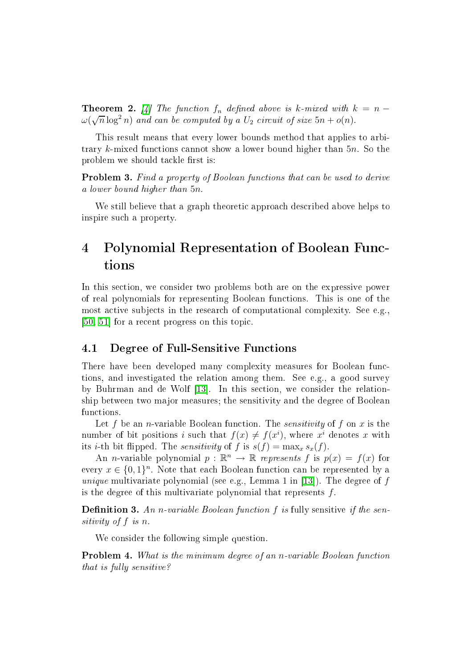**Theorem 2.** [4] The function  $f_n$  defined above is k-mixed with  $k = n - 1$  $\omega(\sqrt{n}\log^2 n)$  and can be computed by a  $U_2$  circuit of size  $5n + o(n)$ .

This result means that every lower bounds method that applies to arbitrary k-mixed fun
tions annot show a lower bound higher than 5n. So the problem we should tackle first is:

**Problem 3.** Find a property of Boolean functions that can be used to derive a lower bound higher than 5n.

We still believe that a graph theoretic approach described above helps to inspire su
h a property.

## 4Polynomial Representation of Boolean Fun
-

In this se
tion, we onsider two problems both are on the expressive power of real polynomials for representing Boolean fun
tions. This is one of the most active subjects in the research of computational complexity. See e.g.  $[50, 51]$  $[50, 51]$  for a recent progress on this topic.

### 4.1 Degree of Full-Sensitive Fun
tions

There have been developed many omplexity measures for Boolean fun
 tions, and investigated the relation among them. See e.g., a good survey by Buhrman and de Wolf  $[13]$ . In this section, we consider the relationship between two major measures; the sensitivity and the degree of Boolean functions.

Let f be an *n*-variable Boolean function. The *sensitivity* of f on x is the number of bit positions i such that  $f(x) \neq f(x^i)$ , where  $x^i$  denotes x with its *i*-th bit flipped. The *sensitivity* of f is  $s(f) = \max_x s_x(f)$ .

An *n*-variable polynomial  $p : \mathbb{R}^n \to \mathbb{R}$  represents f is  $p(x) = f(x)$  for every  $x \in \{0,1\}^n$ . Note that each Boolean function can be represented by a unique multivariate polynomial (see e.g., Lemma 1 in [13]). The degree of  $f$ is the degree of this multivariate polynomial that represents  $f$ .

**Definition 3.** An n-variable Boolean function f is fully sensitive if the sensitivity of  $f$  is  $n$ .

We consider the following simple question.

<span id="page-14-0"></span>**Problem 4.** What is the minimum degree of an *n*-variable Boolean function that is fully sensitive?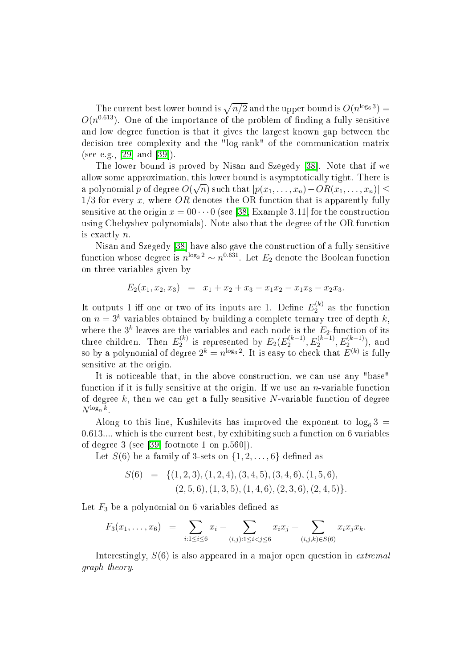The current best lower bound is  $\sqrt{n/2}$  and the upper bound is  $O(n^{\log_6 3}) =$  $O(n^{0.613})$ . One of the importance of the problem of finding a fully sensitive and low degree function is that it gives the largest known gap between the decision tree complexity and the "log-rank" of the communication matrix (see e.g., [29] and [39]).

The lower bound is proved by Nisan and Szegedy [38]. Note that if we allow some approximation, this lower bound is asymptotically tight. There is a polynomial p of degree  $O(\sqrt{n})$  such that  $|p(x_1, \ldots, x_n) - OR(x_1, \ldots, x_n)| \le$  $1/3$  for every x, where OR denotes the OR function that is apparently fully sensitive at the origin  $x = 00 \cdots 0$  (see [\[38,](#page-27-8) Example 3.11] for the construction using Chebyshev polynomials). Note also that the degree of the OR function is exa
tly n.

Nisan and Szegedy [38] have also gave the construction of a fully sensitive function whose degree is  $n^{\log_3 2} \sim n^{0.631}$ . Let  $E_2$  denote the Boolean function on three variables given by

$$
E_2(x_1, x_2, x_3) = x_1 + x_2 + x_3 - x_1x_2 - x_1x_3 - x_2x_3.
$$

It outputs 1 iff one or two of its inputs are 1. Define  $E_2^{(k)}$ on  $n = 3^k$  variables obtained by building a complete ternary tree of depth k, where the  $3^k$  leaves are the variables and each node is the  $E_2$ -function of its three children. Then  $E_2^{(k)}$  $E_2^{(k)}$  is represented by  $E_2(E_2^{(k-1)})$  $E_2^{(k-1)}, E_2^{(k-1)}, E_2^{(k-1)}),$  and so by a polynomial of degree  $2^k = n^{\log_3 2}$ . It is easy to check that  $E^{(k)}$  is fully sensitive at the origin.

It is noticeable that, in the above construction, we can use any "base" function if it is fully sensitive at the origin. If we use an *n*-variable function of degree  $k$ , then we can get a fully sensitive N-variable function of degree  $N^{\log_n k}$ .

Along to this line, Kushilevits has improved the exponent to  $\log_6 3$  = 0.613..., which is the current best, by exhibiting such a function on 6 variables of degree 3 (see [\[39,](#page-27-7) footnote 1 on  $p.560$ ]).

Let  $S(6)$  be a family of 3-sets on  $\{1, 2, \ldots, 6\}$  defined as

$$
S(6) = \{ (1,2,3), (1,2,4), (3,4,5), (3,4,6), (1,5,6), (2,5,6), (1,3,5), (1,4,6), (2,3,6), (2,4,5) \}.
$$

Let  $F_3$  be a polynomial on 6 variables defined as

$$
F_3(x_1,\ldots,x_6) = \sum_{i:1\leq i\leq 6} x_i - \sum_{(i,j):1\leq i
$$

Interestingly,  $S(6)$  is also appeared in a major open question in *extremal* graph theory.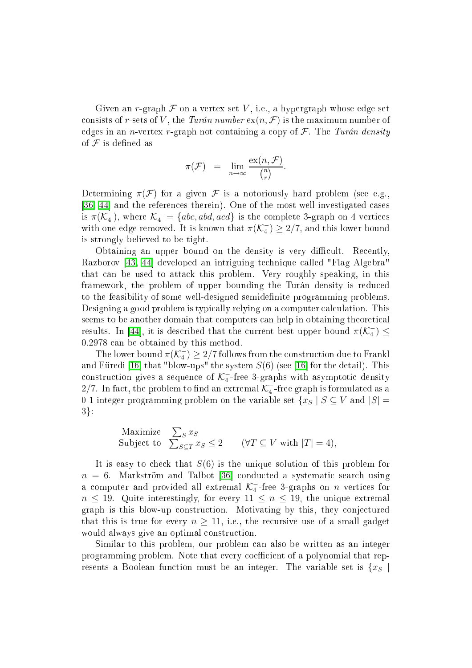Given an r-graph  $\mathcal F$  on a vertex set V, i.e., a hypergraph whose edge set consists of r-sets of V, the Turán number  $ex(n, \mathcal{F})$  is the maximum number of edges in an *n*-vertex r-graph not containing a copy of  $\mathcal F$ . The Turán density of  $\mathcal F$  is defined as

$$
\pi(\mathcal{F}) = \lim_{n \to \infty} \frac{\mathrm{ex}(n, \mathcal{F})}{\binom{n}{r}}.
$$

Determining  $\pi(\mathcal{F})$  for a given  $\mathcal F$  is a notoriously hard problem (see e.g., [\[36,](#page-27-9) 44] and the references therein). One of the most well-investigated cases is  $\pi(\mathcal{K}_4^-)$ , where  $\mathcal{K}_4^- = \{abc, abd, acd\}$  is the complete 3-graph on 4 vertices with one edge removed. It is known that  $\pi(\mathcal{K}_4^-) \geq 2/7$ , and this lower bound is strongly believed to be tight.

Obtaining an upper bound on the density is very difficult. Recently, Razborov [\[43,](#page-27-11) 44] developed an intriguing technique called "Flag Algebra" that an be used to atta
k this problem. Very roughly speaking, in this framework, the problem of upper bounding the Turán density is redu
ed to the feasibility of some well-designed semidefinite programming problems. Designing a good problem is typically relying on a computer calculation. This seems to be another domain that omputers an help in obtaining theoreti
al results. In [44], it is described that the current best upper bound  $\pi(\mathcal{K}_4^-) \leq$ 0.2978 an be obtained by this method.

The lower bound  $\pi(\mathcal{K}_4^-) \geq 2/7$  follows from the construction due to Frankl and Füredi [16] that "blow-ups" the system  $S(6)$  (see [16] for the detail). This construction gives a sequence of  $\mathcal{K}_4^-$ -free 3-graphs with asymptotic density 2/7. In fact, the problem to find an extremal  $\mathcal{K}_4^-$ -free graph is formulated as a 0-1 integer programming problem on the variable set  $\{x_S | S \subseteq V \text{ and } |S| =$ 3}:

$$
\begin{array}{ll}\text{Maximize} & \sum_{S} x_{S} \\ \text{Subject to} & \sum_{S \subseteq T} x_{S} \le 2 & (\forall T \subseteq V \text{ with } |T| = 4), \end{array}
$$

It is easy to check that  $S(6)$  is the unique solution of this problem for  $n = 6$ . Markström and Talbot [36] conducted a systematic search using a computer and provided all extremal  $\mathcal{K}_4^-$ -free 3-graphs on *n* vertices for  $n \leq 19$ . Quite interestingly, for every  $11 \leq n \leq 19$ , the unique extremal graph is this blow-up onstru
tion. Motivating by this, they onje
tured that this is true for every  $n \geq 11$ , i.e., the recursive use of a small gadget would always give an optimal construction.

Similar to this problem, our problem can also be written as an integer programming problem. Note that every coefficient of a polynomial that represents a Boolean function must be an integer. The variable set is  $\{x_{\mathcal{S}}\}$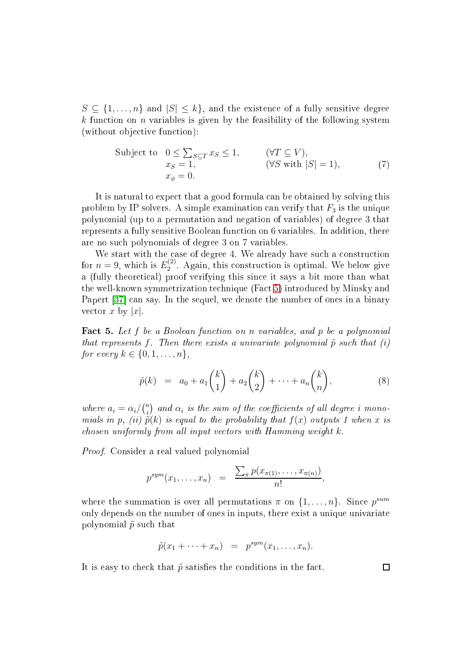$S \subseteq \{1, \ldots, n\}$  and  $|S| \leq k\}$ , and the existence of a fully sensitive degree  $k$  function on *n* variables is given by the feasibility of the following system (without objective function):

Subject to 
$$
0 \le \sum_{S \subseteq T} x_S \le 1
$$
,  $(\forall T \subseteq V)$ ,  
\n $x_S = 1$ ,  $(\forall S \text{ with } |S| = 1)$ ,  $(7)$   
\n $x_{\phi} = 0$ .

<span id="page-17-2"></span>It is natural to expe
t that a good formula an be obtained by solving this problem by IP solvers. A simple examination can verify that  $F_3$  is the unique polynomial (up to <sup>a</sup> permutation and negation of variables) of degree 3 that represents a fully sensitive Boolean function on 6 variables. In addition, there are no su
h polynomials of degree 3 on 7 variables.

We start with the case of degree 4. We already have such a construction for  $n=9$ , which is  $E_2^{(2)}$  $_2$   $\,$ . Again, this construction is optimal. We below give a (fully theoreti
al) proof verifying this sin
e it says a bit more than what the well-known symmetrization te
hnique (Fa
t [5\)](#page-17-0) introdu
ed by Minsky and Papert [37] can say. In the sequel, we denote the number of ones in a binary vector x by |x|.

<span id="page-17-0"></span>**Fact 5.** Let f be a Boolean function on n variables, and p be a polynomial that represents f. Then there exists a univariate polynomial  $\tilde{p}$  such that (i) for every  $k \in \{0, 1, ..., n\},\$ 

$$
\tilde{p}(k) = a_0 + a_1 \binom{k}{1} + a_2 \binom{k}{2} + \dots + a_n \binom{k}{n}, \tag{8}
$$

<span id="page-17-1"></span>where  $a_i = \alpha_i / \binom{n}{i}$  $\hat{a}_i^{n})$  and  $\alpha_i$  is the sum of the coefficients of all degree  $i$  monomials in p, (ii)  $\tilde{p}(k)$  is equal to the probability that  $f(x)$  outputs 1 when x is  $\emph{chosen uniformly from all input vectors with Hamming weight $k$.}$ 

Proof. Consider a real valued polynomial

$$
p^{sym}(x_1,\ldots,x_n) = \frac{\sum_{\pi} p(x_{\pi(1)},\ldots,x_{\pi(n)})}{n!},
$$

where the summation is over all permutations  $\pi$  on  $\{1, \ldots, n\}$ . Since  $p^{sum}$ only depends on the number of ones in inputs, there exist a unique univariate polynomial  $\tilde{p}$  such that

$$
\tilde{p}(x_1 + \cdots + x_n) = p^{sym}(x_1, \ldots, x_n).
$$

It is easy to check that  $\tilde{p}$  satisfies the conditions in the fact.

 $\Box$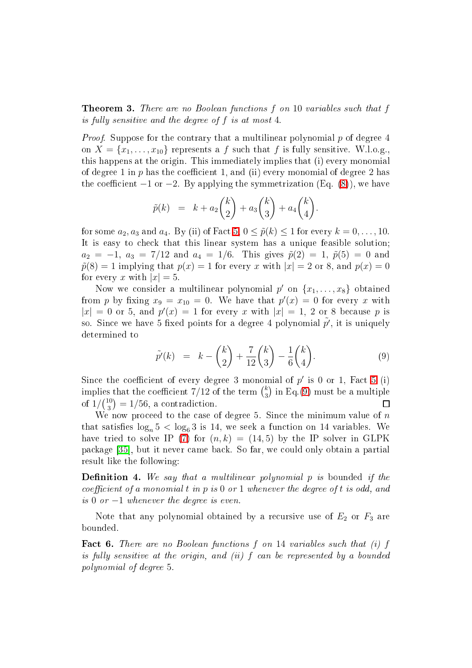**Theorem 3.** There are no Boolean functions f on 10 variables such that f is fully sensitive and the degree of  $f$  is at most 4.

*Proof.* Suppose for the contrary that a multilinear polynomial p of degree 4 on  $X = \{x_1, \ldots, x_{10}\}\)$  represents a f such that f is fully sensitive. W.l.o.g., this happens at the origin. This immediately implies that (i) every monomial of degree 1 in  $p$  has the coefficient 1, and (ii) every monomial of degree 2 has the coefficient  $-1$  or  $-2$ . By applying the symmetrization (Eq. [\(8\)](#page-17-1)), we have

$$
\tilde{p}(k) = k + a_2 \binom{k}{2} + a_3 \binom{k}{3} + a_4 \binom{k}{4}.
$$

for some  $a_2, a_3$  and  $a_4$ . By (ii) of Fact [5,](#page-17-0)  $0 \leq \tilde{p}(k) \leq 1$  for every  $k = 0, \ldots, 10$ . It is easy to check that this linear system has a unique feasible solution;  $a_2 = -1, a_3 = 7/12$  and  $a_4 = 1/6$ . This gives  $\tilde{p}(2) = 1, \tilde{p}(5) = 0$  and  $\tilde{p}(8) = 1$  implying that  $p(x) = 1$  for every x with  $|x| = 2$  or 8, and  $p(x) = 0$ for every x with  $|x|=5$ .

Now we consider a multilinear polynomial  $p'$  on  $\{x_1, \ldots, x_8\}$  obtained from p by fixing  $x_9 = x_{10} = 0$ . We have that  $p'(x) = 0$  for every x with  $|x| = 0$  or 5, and  $p'(x) = 1$  for every x with  $|x| = 1$ , 2 or 8 because p is so. Since we have 5 fixed points for a degree 4 polynomial  $\tilde{p'}$ , it is uniquely determined to

$$
\tilde{p}'(k) = k - \binom{k}{2} + \frac{7}{12} \binom{k}{3} - \frac{1}{6} \binom{k}{4}.
$$
\n(9)

<span id="page-18-0"></span>Since the coefficient of every degree 3 monomial of  $p'$  is 0 or 1, Fact [5](#page-17-0) (i) implies that the coefficient  $7/12$  of the term  $\binom{k}{3}$  $\binom{k}{3}$  in Eq.[\(9\)](#page-18-0) must be a multiple of  $1/{\binom{10}{3}}$  $\binom{10}{3} = 1/56$ , a contradiction.  $\Box$ 

We now proceed to the case of degree 5. Since the minimum value of  $n$ that satisfies  $\log_n 5 < \log_6 3$  is 14, we seek a function on 14 variables. We have tried to solve IP [\(7\)](#page-17-2) for  $(n, k) = (14, 5)$  by the IP solver in GLPK package [35], but it never came back. So far, we could only obtain a partial result like the following:

**Definition 4.** We say that a multilinear polynomial p is bounded if the coefficient of a monomial t in p is 0 or 1 whenever the degree of t is odd, and is 0 or  $-1$  whenever the degree is even.

Note that any polynomial obtained by a recursive use of  $E_2$  or  $F_3$  are bounded.

**Fact 6.** There are no Boolean functions  $f$  on 14 variables such that (i)  $f$ is fully sensitive at the origin, and (ii)  $f$  can be represented by a bounded polynomial of degree 5.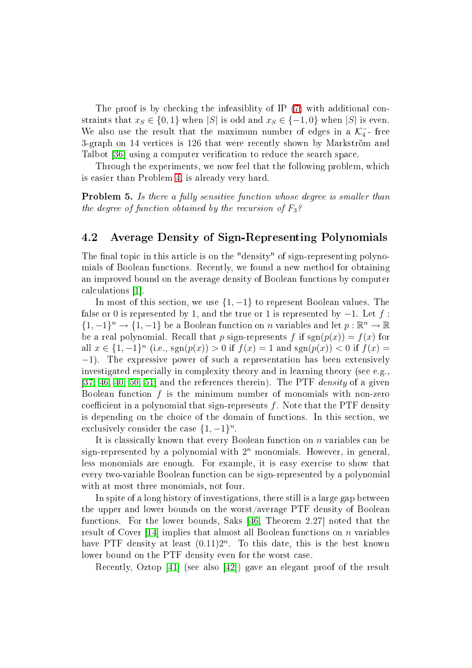The proof is by checking the infeasiblity of IP [\(7\)](#page-17-2) with additional constraints that  $x_S \in \{0, 1\}$  when |S| is odd and  $x_S \in \{-1, 0\}$  when |S| is even. We also use the result that the maximum number of edges in a  $\mathcal{K}_4^-$ -free 3-graph on 14 verti
es is 126 that were re
ently shown by Markström and Talbot [36] using a computer verification to reduce the search space.

Through the experiments, we now feel that the following problem, whi
h is easier than Problem [4,](#page-14-0) is already very hard.

**Problem 5.** Is there a fully sensitive function whose degree is smaller than the degree of function obtained by the recursion of  $F_3$ ?

### 4.2 Average Density of Sign-Representing Polynomials

The final topic in this article is on the "density" of sign-representing polynomials of Boolean fun
tions. Re
ently, we found a new method for obtaining an improved bound on the average density of Boolean functions by computer calculations [1].

In most of this section, we use  $\{1, -1\}$  to represent Boolean values. The false or 0 is represented by 1, and the true or 1 is represented by  $-1$ . Let f:  $\{1, -1\}^n \to \{1, -1\}$  be a Boolean function on n variables and let  $p : \mathbb{R}^n \to \mathbb{R}$ be a real polynomial. Recall that p sign-represents f if  $sgn(p(x)) = f(x)$  for all  $x \in \{1, -1\}^n$  (i.e., sgn( $p(x)$ ) > 0 if  $f(x) = 1$  and sgn( $p(x)$ ) < 0 if  $f(x) =$ −1). The expressive power of su
h a representation has been extensively investigated especially in complexity theory and in learning theory (see e.g., [\[37,](#page-27-12) [46,](#page-27-13) [40,](#page-27-14) [50,](#page-28-8) 51] and the references therein). The PTF *density* of a given Boolean function  $f$  is the minimum number of monomials with non-zero coefficient in a polynomial that sign-represents  $f$ . Note that the PTF density is depending on the choice of the domain of functions. In this section, we exclusively consider the case  $\{1, -1\}^n$ .

It is classically known that every Boolean function on n variables can be sign-represented by a polynomial with  $2^n$  monomials. However, in general, less monomials are enough. For example, it is easy exercise to show that every two-variable Boolean fun
tion an be sign-represented by a polynomial with at most three monomials, not four.

In spite of a long history of investigations, there still is a large gap between the upper and lower bounds on the worst/average PTF density of Boolean functions. For the lower bounds, Saks [\[46,](#page-27-13) Theorem 2.27] noted that the result of Cover [14] implies that almost all Boolean functions on  $n$  variables have PTF density at least  $(0.11)2^n$ . To this date, this is the best known lower bound on the PTF density even for the worst case.

Recently, Oztop [41] (see also [42]) gave an elegant proof of the result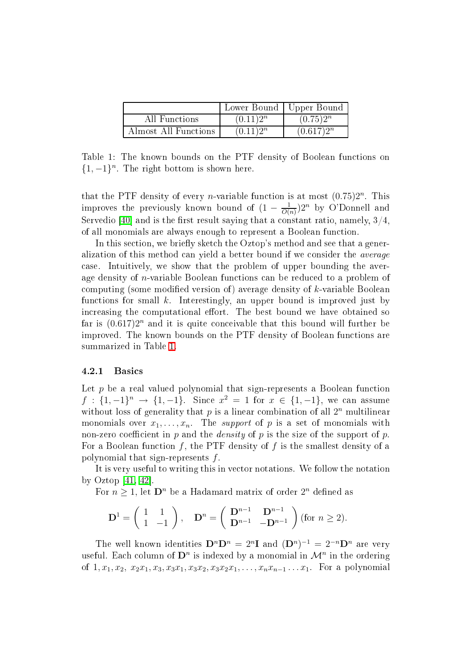|                      |             | Lower Bound   Upper Bound |
|----------------------|-------------|---------------------------|
| All Functions        | $(0.11)2^n$ | $(0.75)2^{n}$             |
| Almost All Functions | $(0.11)2^n$ | $(0.617)2^n$              |

<span id="page-20-0"></span>Table 1: The known bounds on the PTF density of Boolean fun
tions on  $\{1, -1\}$ <sup>n</sup>. The right bottom is shown here.

that the PTF density of every *n*-variable function is at most  $(0.75)2<sup>n</sup>$ . This improves the previously known bound of  $(1-\frac{1}{O(n)})$  $\frac{1}{O(n)}$ )2<sup>n</sup> by O'Donnell and Servedio [40] and is the first result saying that a constant ratio, namely,  $3/4$ , of all monomials are always enough to represent a Boolean fun
tion.

In this section, we briefly sketch the Oztop's method and see that a generalization of this method can yield a better bound if we consider the *average* ase. Intuitively, we show that the problem of upper bounding the average density of n-variable Boolean fun
tions an be redu
ed to a problem of computing (some modified version of) average density of k-variable Boolean functions for small k. Interestingly, an upper bound is improved just by increasing the computational effort. The best bound we have obtained so far is  $(0.617)2<sup>n</sup>$  and it is quite conceivable that this bound will further be improved. The known bounds on the PTF density of Boolean fun
tions are summarized in Table [1.](#page-20-0)

### 4.2.1 Basi
s

Let  $p$  be a real valued polynomial that sign-represents a Boolean function  $f: \{1, -1\}^n \to \{1, -1\}$ . Since  $x^2 = 1$  for  $x \in \{1, -1\}$ , we can assume without loss of generality that  $p$  is a linear combination of all  $2^n$  multilinear monomials over  $x_1, \ldots, x_n$ . The *support* of p is a set of monomials with non-zero coefficient in  $p$  and the *density* of  $p$  is the size of the support of  $p$ . For a Boolean function  $f$ , the PTF density of  $f$  is the smallest density of a polynomial that sign-represents f .

It is very useful to writing this in vector notations. We follow the notation by Oztop  $[41, 42]$  $[41, 42]$ .

For  $n \geq 1$ , let  $\mathbf{D}^n$  be a Hadamard matrix of order  $2^n$  defined as

$$
\mathbf{D}^1 = \begin{pmatrix} 1 & 1 \\ 1 & -1 \end{pmatrix}, \quad \mathbf{D}^n = \begin{pmatrix} \mathbf{D}^{n-1} & \mathbf{D}^{n-1} \\ \mathbf{D}^{n-1} & -\mathbf{D}^{n-1} \end{pmatrix} \text{ (for } n \ge 2\text{)}.
$$

The well known identities  $\mathbf{D}^n \mathbf{D}^n = 2^n \mathbf{I}$  and  $(\mathbf{D}^n)^{-1} = 2^{-n} \mathbf{D}^n$  are very useful. Each column of  $\mathbf{D}^n$  is indexed by a monomial in  $\mathcal{M}^n$  in the ordering of  $1, x_1, x_2, x_2x_1, x_3, x_3x_1, x_3x_2, x_3x_2x_1, \ldots, x_nx_{n-1} \ldots x_1$ . For a polynomial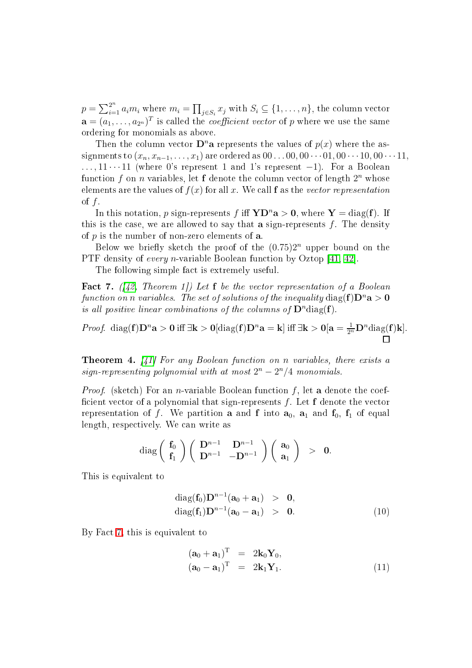$p = \sum_{i=1}^{2^n} a_i m_i$  where  $m_i = \prod_{j \in S_i} x_j$  with  $S_i \subseteq \{1, ..., n\}$ , the column vector  $\mathbf{a} = (a_1, \ldots, a_{2^n})^T$  is called the *coefficient vector* of p where we use the same ordering for monomials as above.

Then the column vector  $\mathbf{D}^n$  a represents the values of  $p(x)$  where the assignments to  $(x_n, x_{n-1}, \ldots, x_1)$  are ordered as  $00 \ldots 00, 00 \cdots 01, 00 \cdots 10, 00 \cdots 11$ ,  $\dots, 11 \cdots 11$  (where 0's represent 1 and 1's represent  $-1$ ). For a Boolean function  $f$  on  $n$  variables, let  $f$  denote the column vector of length  $2^n$  whose elements are the values of  $f(x)$  for all x. We call f as the vector representation of  $f$ .

In this notation, p sign-represents f iff  $YD^n a > 0$ , where  $Y = \text{diag}(f)$ . If this is the case, we are allowed to say that a sign-represents  $f$ . The density of  $p$  is the number of non-zero elements of  $a$ .

Below we briefly sketch the proof of the  $(0.75)2<sup>n</sup>$  upper bound on the PTF density of every *n*-variable Boolean function by Oztop [\[41,](#page-27-15) 42].

The following simple fact is extremely useful.

<span id="page-21-0"></span>**Fact 7.** ([\[42,](#page-27-16) Theorem 1]) Let **f** be the vector representation of a Boolean function on n variables. The set of solutions of the inequality  $\text{diag}(\mathbf{f})\mathbf{D}^n\mathbf{a} > \mathbf{0}$ is all positive linear combinations of the columns of  $\mathbf{D}^n$ diag(f).

<span id="page-21-2"></span>*Proof.* diag(**f**) $D^n a > 0$  iff  $\exists k > 0$ [diag(**f**) $D^n a = k$ ] iff  $\exists k > 0$ [ $a = \frac{1}{2^n} D^n$ diag(**f**) $k$ ].

**Theorem 4.** [41] For any Boolean function on n variables, there exists a sign-representing polynomial with at most  $2^n - 2^n/4$  monomials.

*Proof.* (sketch) For an *n*-variable Boolean function  $f$ , let **a** denote the coefficient vector of a polynomial that sign-represents  $f$ . Let  $f$  denote the vector representation of f. We partition **a** and **f** into  $a_0$ ,  $a_1$  and  $f_0$ ,  $f_1$  of equal length, respe
tively. We an write as

$$
\mathrm{diag}\left(\begin{array}{c} \mathbf{f}_0 \\ \mathbf{f}_1 \end{array}\right)\left(\begin{array}{cc} \mathbf{D}^{n-1} & \mathbf{D}^{n-1} \\ \mathbf{D}^{n-1} & -\mathbf{D}^{n-1} \end{array}\right)\left(\begin{array}{c} \mathbf{a}_0 \\ \mathbf{a}_1 \end{array}\right) \hspace{0.1cm} > \hspace{0.1cm} \mathbf{0}.
$$

This is equivalent to

$$
\begin{array}{l}\n\text{diag}(\mathbf{f}_0)\mathbf{D}^{n-1}(\mathbf{a}_0 + \mathbf{a}_1) > \mathbf{0}, \\
\text{diag}(\mathbf{f}_1)\mathbf{D}^{n-1}(\mathbf{a}_0 - \mathbf{a}_1) > \mathbf{0}.\n\end{array} \tag{10}
$$

<span id="page-21-1"></span>By Fact [7,](#page-21-0) this is equivalent to

$$
(\mathbf{a}_0 + \mathbf{a}_1)^{\mathrm{T}} = 2\mathbf{k}_0 \mathbf{Y}_0, (\mathbf{a}_0 - \mathbf{a}_1)^{\mathrm{T}} = 2\mathbf{k}_1 \mathbf{Y}_1.
$$
 (11)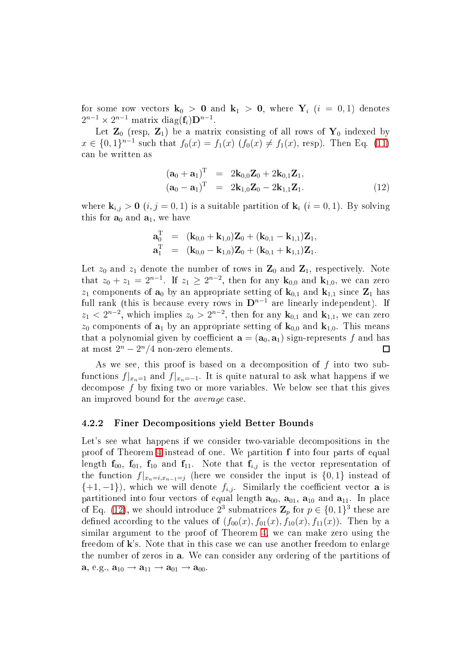for some row vectors  $\mathbf{k}_0 > 0$  and  $\mathbf{k}_1 > 0$ , where  $\mathbf{Y}_i$   $(i = 0, 1)$  denotes  $2^{n-1} \times 2^{n-1}$  matrix diag( $f_i$ ) $D^{n-1}$ .

Let  $\mathbf{Z}_0$  (resp,  $\mathbf{Z}_1$ ) be a matrix consisting of all rows of  $\mathbf{Y}_0$  indexed by  $x \in \{0,1\}^{n-1}$  such that  $f_0(x) = f_1(x)$   $(f_0(x) \neq f_1(x), \text{ resp})$ . Then Eq. [\(11\)](#page-21-1) an be written as

$$
(\mathbf{a}_0 + \mathbf{a}_1)^{\mathrm{T}} = 2\mathbf{k}_{0,0}\mathbf{Z}_0 + 2\mathbf{k}_{0,1}\mathbf{Z}_1, (\mathbf{a}_0 - \mathbf{a}_1)^{\mathrm{T}} = 2\mathbf{k}_{1,0}\mathbf{Z}_0 - 2\mathbf{k}_{1,1}\mathbf{Z}_1.
$$
 (12)

<span id="page-22-0"></span>where  $\mathbf{k}_{i,j} > 0$   $(i, j = 0, 1)$  is a suitable partition of  $\mathbf{k}_i$   $(i = 0, 1)$ . By solving this for  $a_0$  and  $a_1$ , we have

$$
\begin{array}{lll} \mathbf{a}_0^{\mathrm{T}} & = & (\mathbf{k}_{0,0} + \mathbf{k}_{1,0})\mathbf{Z}_0 + (\mathbf{k}_{0,1} - \mathbf{k}_{1,1})\mathbf{Z}_1, \\ \mathbf{a}_1^{\mathrm{T}} & = & (\mathbf{k}_{0,0} - \mathbf{k}_{1,0})\mathbf{Z}_0 + (\mathbf{k}_{0,1} + \mathbf{k}_{1,1})\mathbf{Z}_1. \end{array}
$$

Let  $z_0$  and  $z_1$  denote the number of rows in  $\mathbf{Z}_0$  and  $\mathbf{Z}_1$ , respectively. Note that  $z_0 + z_1 = 2^{n-1}$ . If  $z_1 \geq 2^{n-2}$ , then for any  $\mathbf{k}_{0,0}$  and  $\mathbf{k}_{1,0}$ , we can zero  $z_1$  components of  $a_0$  by an appropriate setting of  $k_{0,1}$  and  $k_{1,1}$  since  $\mathbb{Z}_1$  has full rank (this is because every rows in  $D^{n-1}$  are linearly independent). If  $z_1 < 2^{n-2}$ , which implies  $z_0 > 2^{n-2}$ , then for any  $\mathbf{k}_{0,1}$  and  $\mathbf{k}_{1,1}$ , we can zero  $z_0$  components of  $a_1$  by an appropriate setting of  $k_{0,0}$  and  $k_{1,0}$ . This means that a polynomial given by coefficient  $\mathbf{a} = (\mathbf{a}_0, \mathbf{a}_1)$  sign-represents f and has at most  $2^n - 2^n/4$  non-zero elements.  $\Box$ 

As we see, this proof is based on a decomposition of  $f$  into two subfunctions  $f|_{x_n=1}$  and  $f|_{x_n=-1}$ . It is quite natural to ask what happens if we decompose  $f$  by fixing two or more variables. We below see that this gives an improved bound for the *average* case.

### 4.2.2 Finer De
ompositions yield Better Bounds

Let's see what happens if we consider two-variable decompositions in the proof of Theorem [4](#page-21-2) instead of one. We partition f into four parts of equal length  $f_{00}$ ,  $f_{01}$ ,  $f_{10}$  and  $f_{11}$ . Note that  $f_{i,j}$  is the vector representation of the function  $f|_{x_n=i,x_{n-1}=j}$  (here we consider the input is  $\{0,1\}$  instead of  $\{+1,-1\}$ , which we will denote  $f_{i,j}$ . Similarly the coefficient vector **a** is partitioned into four vectors of equal length  $a_{00}$ ,  $a_{01}$ ,  $a_{10}$  and  $a_{11}$ . In place of Eq. [\(12\)](#page-22-0), we should introduce  $2^3$  submatrices  $\mathbf{Z}_p$  for  $p \in \{0,1\}^3$  these are defined according to the values of  $(f_{00}(x), f_{01}(x), f_{10}(x), f_{11}(x))$ . Then by a similar argument to the proof of Theorem [4,](#page-21-2) we can make zero using the freedom of k's. Note that in this case we can use another freedom to enlarge the number of zeros in a. We an onsider any ordering of the partitions of  $\mathbf{a}, e.g., \mathbf{a}_{10} \rightarrow \mathbf{a}_{11} \rightarrow \mathbf{a}_{01} \rightarrow \mathbf{a}_{00}.$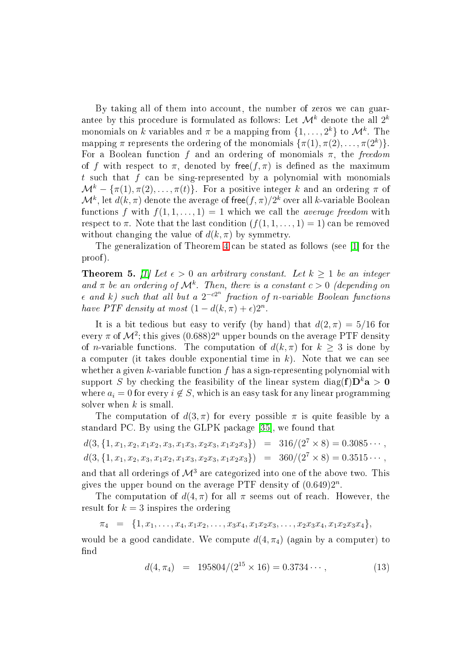By taking all of them into account, the number of zeros we can guarantee by this procedure is formulated as follows: Let  $\mathcal{M}^k$  denote the all  $2^k$ monomials on k variables and  $\pi$  be a mapping from  $\{1, \ldots, 2^k\}$  to  $\mathcal{M}^k$ . The mapping  $\pi$  represents the ordering of the monomials  $\{\pi(1), \pi(2), \ldots, \pi(2^k)\}.$ For a Boolean function f and an ordering of monomials  $\pi$ , the freedom of f with respect to  $\pi$ , denoted by free $(f, \pi)$  is defined as the maximum t such that  $f$  can be sing-represented by a polynomial with monomials  $\mathcal{M}^k - \{\pi(1), \pi(2), \ldots, \pi(t)\}.$  For a positive integer k and an ordering  $\pi$  of  $\mathcal{M}^k$ , let  $d(k,\pi)$  denote the average of free $(f,\pi)/2^k$  over all  $k$ -variable Boolean functions f with  $f(1,1,\ldots,1)=1$  which we call the *average freedom* with respect to  $\pi$ . Note that the last condition  $(f(1, 1, \ldots, 1) = 1)$  can be removed without changing the value of  $d(k, \pi)$  by symmetry.

The generalization of Theorem [4](#page-21-2) can be stated as follows (see [1] for the proof).

**Theorem 5.** [1] Let  $\epsilon > 0$  an arbitrary constant. Let  $k \geq 1$  be an integer and  $\pi$  be an ordering of  $\mathcal{M}^k$ . Then, there is a constant  $c > 0$  (depending on  $\epsilon$  and k) such that all but a  $2^{-c2^n}$  fraction of n-variable Boolean functions have PTF density at most  $(1-d(k,\pi)+\epsilon)2^n$ .

It is a bit tedious but easy to verify (by hand) that  $d(2, \pi) = 5/16$  for every  $\pi$  of  $\mathcal{M}^2$ ; this gives  $(0.688)2^n$  upper bounds on the average PTF density of *n*-variable functions. The computation of  $d(k,\pi)$  for  $k \geq 3$  is done by a computer (it takes double exponential time in  $k$ ). Note that we can see whether a given  $k$ -variable function  $f$  has a sign-representing polynomial with support S by checking the feasibility of the linear system diag( $f$ ) $D^k a > 0$ where  $a_i = 0$  for every  $i \notin S$ , which is an easy task for any linear programming solver when  $k$  is small.

The computation of  $d(3, \pi)$  for every possible  $\pi$  is quite feasible by a standard PC. By using the GLPK package  $[35]$ , we found that

$$
d(3, \{1, x_1, x_2, x_1x_2, x_3, x_1x_3, x_2x_3, x_1x_2x_3\}) = 316/(2^7 \times 8) = 0.3085 \cdots,
$$
  

$$
d(3, \{1, x_1, x_2, x_3, x_1x_2, x_1x_3, x_2x_3, x_1x_2x_3\}) = 360/(2^7 \times 8) = 0.3515 \cdots,
$$

and that all orderings of  $\mathcal{M}^3$  are categorized into one of the above two. This gives the upper bound on the average PTF density of  $(0.649)2^n$ .

The computation of  $d(4, \pi)$  for all  $\pi$  seems out of reach. However, the result for  $k = 3$  inspires the ordering

 $\pi_4 = \{1, x_1, \ldots, x_4, x_1x_2, \ldots, x_3x_4, x_1x_2x_3, \ldots, x_2x_3x_4, x_1x_2x_3x_4\},\$ 

<span id="page-23-0"></span>would be a good candidate. We compute  $d(4, \pi_4)$  (again by a computer) to find

$$
d(4, \pi_4) = 195804/(2^{15} \times 16) = 0.3734 \cdots,
$$
 (13)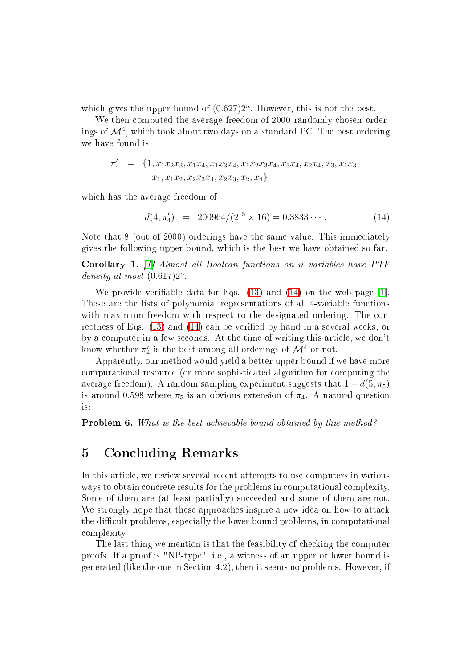which gives the upper bound of  $(0.627)2<sup>n</sup>$ . However, this is not the best.

We then computed the average freedom of 2000 randomly chosen orderings of  $\mathcal{M}^4$ , which took about two days on a standard PC. The best ordering we have found is

$$
\pi'_4 = \{1, x_1x_2x_3, x_1x_4, x_1x_3x_4, x_1x_2x_3x_4, x_3x_4, x_2x_4, x_3, x_1x_3, x_1x_4, x_1x_2, x_2x_3x_4, x_2x_3, x_2, x_4\},\
$$

<span id="page-24-0"></span>which has the average freedom of

$$
d(4, \pi'_4) = 200964/(2^{15} \times 16) = 0.3833\dots
$$
 (14)

Note that 8 (out of 2000) orderings have the same value. This immediately gives the following upper bound, whi
h is the best we have obtained so far.

Corollary 1. [1] Almost all Boolean functions on n variables have PTF density at most  $(0.617)2^n$ .

We provide verifiable data for Eqs.  $(13)$  and  $(14)$  on the web page [1]. These are the lists of polynomial representations of all 4-variable functions with maximum freedom with respect to the designated ordering. The cor-rectness of Eqs. [\(13\)](#page-23-0) and [\(14\)](#page-24-0) can be verified by hand in a several weeks, or by a computer in a few seconds. At the time of writing this article, we don't know whether  $\pi'_4$  is the best among all orderings of  $\mathcal{M}^4$  or not.

Apparently, our method would yield a better upper bound if we have more omputational resour
e (or more sophisti
ated algorithm for omputing the average freedom). A random sampling experiment suggests that  $1 - d(5, \pi_5)$ is around 0.598 where  $\pi_5$  is an obvious extension of  $\pi_4$ . A natural question is:

**Problem 6.** What is the best achievable bound obtained by this method?

### 5Con
luding Remarks

In this article, we review several recent attempts to use computers in various ways to obtain concrete results for the problems in computational complexity. Some of them are (at least partially) succeeded and some of them are not. We strongly hope that these approaches inspire a new idea on how to attack the difficult problems, especially the lower bound problems, in computational omplexity.

The last thing we mention is that the feasibility of checking the computer proofs. If a proof is "NP-type", i.e., a witness of an upper or lower bound is generated (like the one in Se
tion 4.2), then it seems no problems. However, if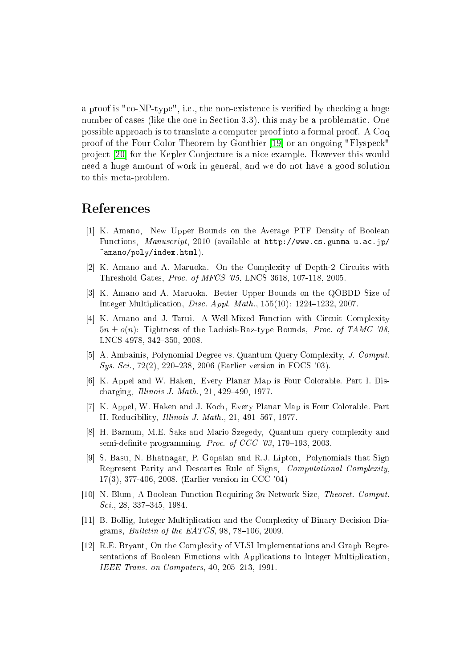a proof is "co-NP-type", i.e., the non-existence is verified by checking a huge number of cases (like the one in Section 3.3), this may be a problematic. One possible approa
h is to translate a omputer proof into a formal proof. A Coq proof of the Four Color Theorem by Gonthier [19] or an ongoing "Flyspeck" project [20] for the Kepler Conjecture is a nice example. However this would need a huge amount of work in general, and we do not have a good solution to this meta-problem.

- <span id="page-25-11"></span>[1] K. Amano, New Upper Bounds on the Average PTF Density of Boolean Functions, Manuscript, 2010 (available at http://www.cs.gunma-u.ac.jp/ amano/poly/index.html).
- <span id="page-25-3"></span><span id="page-25-2"></span>[2] K. Amano and A. Maruoka. On the Complexity of Depth-2 Circuits with Threshold Gates, Pro
. of MFCS '05, LNCS 3618, 107-118, 2005.
- <span id="page-25-10"></span>[3] K. Amano and A. Maruoka. Better Upper Bounds on the QOBDD Size of Integer Multiplication, *Disc. Appl. Math.*,  $155(10)$ :  $1224-1232$ , 2007.
- [4] K. Amano and J. Tarui. A Well-Mixed Function with Circuit Complexity  $5n \pm o(n)$ : Tightness of the Lachish-Raz-type Bounds, *Proc. of TAMC '08*, LNCS 4978, 342-350, 2008.
- <span id="page-25-8"></span><span id="page-25-5"></span>[5] A. Ambainis, Polynomial Degree vs. Quantum Query Complexity, J. Comput. Sys. Sci., 72(2), 220–238, 2006 (Earlier version in FOCS '03).
- <span id="page-25-9"></span>[6] K. Appel and W. Haken, Every Planar Map is Four Colorable. Part I. Discharging, *Illinois J. Math.*, 21,  $429-490$ , 1977.
- <span id="page-25-6"></span>[7] K. Appel, W. Haken and J. Koch, Every Planar Map is Four Colorable. Part II. Reducibility, *Illinois J. Math.*, 21, 491-567, 1977.
- [8] H. Barnum, M.E. Saks and Mario Szegedy, Quantum query complexity and semi-definite programming. *Proc. of CCC*  $0.9$ , 179-193, 2003.
- <span id="page-25-4"></span>[9] S. Basu, N. Bhatnagar, P. Gopalan and R.J. Lipton, Polynomials that Sign Represent Parity and Descartes Rule of Signs, *Computational Complexity*. 17(3), 377-406, 2008. (Earlier version in CCC '04)
- <span id="page-25-7"></span><span id="page-25-1"></span>[10] N. Blum, A Boolean Function Requiring  $3n$  Network Size, Theoret. Comput.  $Sci$ , 28, 337-345, 1984.
- <span id="page-25-0"></span>[11] B. Bollig, Integer Multiplication and the Complexity of Binary Decision Diagrams, *Bulletin of the EATCS*,  $98, 78-106, 2009$ .
- [12] R.E. Bryant, On the Complexity of VLSI Implementations and Graph Representations of Boolean Functions with Applications to Integer Multiplication. IEEE Trans. on Computers, 40, 205-213, 1991.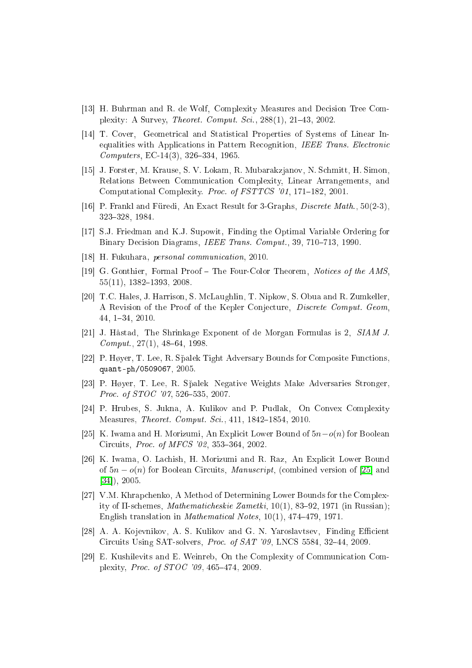- <span id="page-26-14"></span><span id="page-26-11"></span>[13] H. Buhrman and R. de Wolf, Complexity Measures and Decision Tree Complexity: A Survey, *Theoret. Comput. Sci.*, 288(1), 21-43, 2002.
- [14] T. Cover, Geometrical and Statistical Properties of Systems of Linear Inequalities with Applications in Pattern Recognition, IEEE Trans. Electronic  $Computers, EC-14(3), 326-334, 1965.$
- <span id="page-26-3"></span>[15] J. Forster, M. Krause, S. V. Lokam, R. Mubarakzjanov, N. Schmitt, H. Simon. Relations Between Communi
ation Complexity, Linear Arrangements, and Computational Complexity. Proc. of FSTTCS '01, 171-182, 2001.
- <span id="page-26-13"></span><span id="page-26-0"></span>[16] P. Frankl and Füredi, An Exact Result for 3-Graphs, *Discrete Math.*,  $50(2-3)$ , 323328, 1984.
- <span id="page-26-8"></span>[17] S.J. Friedman and K.J. Supowit, Finding the Optimal Variable Ordering for Binary Decision Diagrams, *IEEE Trans. Comput.*, 39, 710–713, 1990.
- <span id="page-26-15"></span>[18] H. Fukuhara, personal communication, 2010.
- <span id="page-26-16"></span>[19] G. Gonthier, Formal Proof – The Four-Color Theorem, Notices of the AMS,  $55(11)$ ,  $1382-1393$ ,  $2008$
- [20] T.C. Hales, J. Harrison, S. McLaughlin, T. Nipkow, S. Obua and R. Zumkeller, A Revision of the Proof of the Kepler Conjecture, Discrete Comput. Geom, 44, 134, 2010.
- <span id="page-26-6"></span><span id="page-26-5"></span>[21] J. Håstad, The Shrinkage Exponent of de Morgan Formulas is 2,  $SIAMJ$ .  $Comput., 27(1), 48–64, 1998.$
- <span id="page-26-7"></span>[22] P. Høyer, T. Lee, R. Sp̃alek Tight Adversary Bounds for Composite Functions, quant-ph/0509067, 2005.
- <span id="page-26-9"></span>[23] P. Høyer, T. Lee, R. Spalek Negative Weights Make Adversaries Stronger, Proc. of STOC '07, 526-535, 2007.
- <span id="page-26-10"></span>[24] P. Hrubes, S. Jukna, A. Kulikov and P. Pudlak, On Convex Complexity Measures, *Theoret. Comput. Sci.*, 411, 1842–1854, 2010.
- <span id="page-26-1"></span>[25] K. Iwama and H. Morizumi, An Explicit Lower Bound of  $5n-o(n)$  for Boolean Circuits, *Proc. of MFCS '02*, 353-364, 2002.
- [26] K. Iwama, O. Lachish, H. Morizumi and R. Raz, An Explicit Lower Bound of  $5n - o(n)$  for Boolean Circuits, *Manuscript*, (combined version of [25] and  $[34]$ , 2005.
- <span id="page-26-4"></span>[27] V.M. Khrapchenko, A Method of Determining Lower Bounds for the Complexity of  $\Pi$ -schemes, *Mathematicheskie Zametki*,  $10(1)$ , 83–92, 1971 (in Russian); English translation in *Mathematical Notes*,  $10(1)$ ,  $474-479$ ,  $1971$ .
- <span id="page-26-12"></span><span id="page-26-2"></span>[28] A. A. Kojevnikov, A. S. Kulikov and G. N. Yaroslavtsev, Finding Efficient Circuits Using SAT-solvers, *Proc. of SAT '09*, LNCS 5584, 32-44, 2009.
- [29] E. Kushilevits and E. Weinreb, On the Complexity of Communication Complexity, *Proc. of STOC '09*, 465-474, 2009.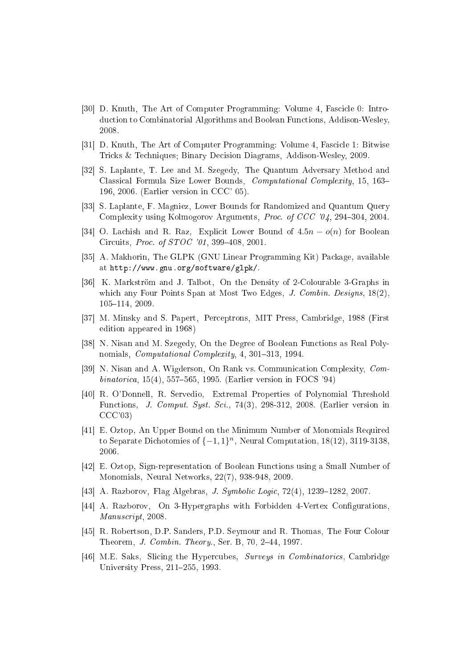- <span id="page-27-2"></span>[30] D. Knuth, The Art of Computer Programming: Volume 4, Fascicle 0: Introdu
tion to Combinatorial Algorithms and Boolean Fun
tions, Addison-Wesley, 2008.
- <span id="page-27-5"></span><span id="page-27-1"></span>[31] D. Knuth, The Art of Computer Programming: Volume 4, Fascicle 1: Bitwise Tricks & Techniques; Binary Decision Diagrams, Addison-Wesley, 2009.
- [32] S. Laplante, T. Lee and M. Szegedy, The Quantum Adversary Method and Classi
al Formula Size Lower Bounds, Computational Complexity, 15, 163 196, 2006. (Earlier version in CCC' 05).
- <span id="page-27-6"></span><span id="page-27-4"></span>[33] S. Laplante, F. Magniez, Lower Bounds for Randomized and Quantum Query Complexity using Kolmogorov Arguments, Proc. of CCC '04, 294-304, 2004.
- <span id="page-27-3"></span>[34] O. Lachish and R. Raz, Explicit Lower Bound of  $4.5n - o(n)$  for Boolean Circuits, Proc. of STOC '01, 399-408, 2001.
- <span id="page-27-9"></span>[35] A. Makhorin, The GLPK (GNU Linear Programming Kit) Package, available at http://www.gnu.org/software/glpk/.
- [36] K. Markström and J. Talbot, On the Density of 2-Colourable 3-Graphs in which any Four Points Span at Most Two Edges, J. Combin. Designs, 18(2), 105-114, 2009.
- <span id="page-27-12"></span><span id="page-27-8"></span>[37] M. Minsky and S. Papert, Perceptrons, MIT Press, Cambridge, 1988 (First edition appeared in 1968)
- <span id="page-27-7"></span>[38] N. Nisan and M. Szegedy, On the Degree of Boolean Functions as Real Polynomials, *Computational Complexity*, 4, 301-313, 1994.
- <span id="page-27-14"></span>[39] N. Nisan and A. Wigderson, On Rank vs. Communication Complexity, Com $binatorica, 15(4), 557-565, 1995.$  (Earlier version in FOCS '94)
- [40] R. O'Donnell, R. Servedio, Extremal Properties of Polynomial Threshold Functions, *J. Comput. Syst. Sci.*, 74(3), 298-312, 2008. (Earlier version in CCC'03)
- <span id="page-27-15"></span>[41] E. Oztop, An Upper Bound on the Minimum Number of Monomials Required to Separate Dichotomies of  $\{-1,1\}^n$ , Neural Computation, 18(12), 3119-3138, 2006.
- <span id="page-27-16"></span><span id="page-27-11"></span>[42] E. Oztop, Sign-representation of Boolean Functions using a Small Number of Monomials, Neural Networks, 22(7), 938-948, 2009.
- <span id="page-27-10"></span>[43] A. Razborov, Flag Algebras, *J. Symbolic Logic*,  $72(4)$ ,  $1239-1282$ ,  $2007$ .
- <span id="page-27-0"></span>[44] A. Razborov, On 3-Hypergraphs with Forbidden 4-Vertex Configurations, Manus
ript, 2008.
- <span id="page-27-13"></span>[45] R. Robertson, D.P. Sanders, P.D. Seymour and R. Thomas, The Four Colour Theorem, *J. Combin. Theory.*, Ser. B, 70, 2-44, 1997.
- [46] M.E. Saks, Slicing the Hypercubes, Surveys in Combinatorics, Cambridge University Press, 211-255, 1993.